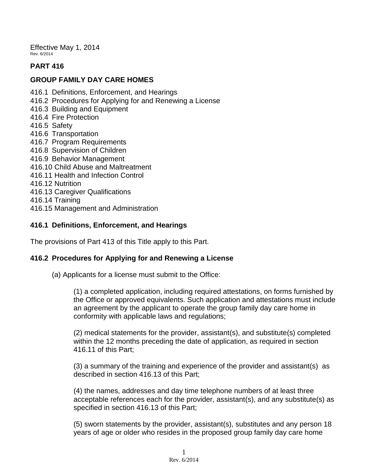Effective May 1, 2014 Rev. 6/2014

# **PART 416**

# **GROUP FAMILY DAY CARE HOMES**

- 416.1 Definitions, Enforcement, and Hearings
- 416.2 Procedures for Applying for and Renewing a License
- 416.3 Building and Equipment
- 416.4 Fire Protection
- 416.5 Safety
- 416.6 Transportation
- 416.7 Program Requirements
- 416.8 Supervision of Children
- 416.9 Behavior Management
- 416.10 Child Abuse and Maltreatment
- 416.11 Health and Infection Control
- 416.12 Nutrition
- 416.13 Caregiver Qualifications
- 416.14 Training
- 416.15 Management and Administration

# **416.1 Definitions, Enforcement, and Hearings**

The provisions of Part 413 of this Title apply to this Part.

### **416.2 Procedures for Applying for and Renewing a License**

(a) Applicants for a license must submit to the Office:

(1) a completed application, including required attestations, on forms furnished by the Office or approved equivalents. Such application and attestations must include an agreement by the applicant to operate the group family day care home in conformity with applicable laws and regulations;

(2) medical statements for the provider, assistant(s), and substitute(s) completed within the 12 months preceding the date of application, as required in section 416.11 of this Part;

(3) a summary of the training and experience of the provider and assistant(s) as described in section 416.13 of this Part;

(4) the names, addresses and day time telephone numbers of at least three acceptable references each for the provider, assistant(s), and any substitute(s) as specified in section 416.13 of this Part;

(5) sworn statements by the provider, assistant(s), substitutes and any person 18 years of age or older who resides in the proposed group family day care home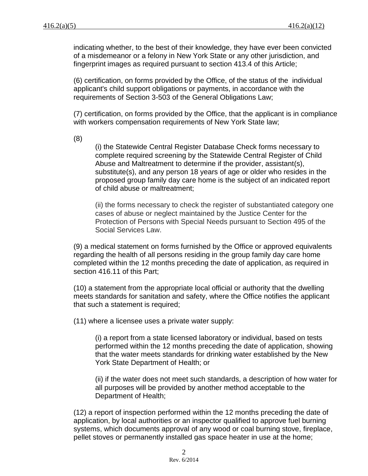indicating whether, to the best of their knowledge, they have ever been convicted of a misdemeanor or a felony in New York State or any other jurisdiction, and fingerprint images as required pursuant to section 413.4 of this Article;

(6) certification, on forms provided by the Office, of the status of the individual applicant's child support obligations or payments, in accordance with the requirements of Section 3-503 of the General Obligations Law;

(7) certification, on forms provided by the Office, that the applicant is in compliance with workers compensation requirements of New York State law;

(8)

(i) the Statewide Central Register Database Check forms necessary to complete required screening by the Statewide Central Register of Child Abuse and Maltreatment to determine if the provider, assistant(s), substitute(s), and any person 18 years of age or older who resides in the proposed group family day care home is the subject of an indicated report of child abuse or maltreatment;

(ii) the forms necessary to check the register of substantiated category one cases of abuse or neglect maintained by the Justice Center for the Protection of Persons with Special Needs pursuant to Section 495 of the Social Services Law.

(9) a medical statement on forms furnished by the Office or approved equivalents regarding the health of all persons residing in the group family day care home completed within the 12 months preceding the date of application, as required in section 416.11 of this Part;

(10) a statement from the appropriate local official or authority that the dwelling meets standards for sanitation and safety, where the Office notifies the applicant that such a statement is required;

(11) where a licensee uses a private water supply:

(i) a report from a state licensed laboratory or individual, based on tests performed within the 12 months preceding the date of application, showing that the water meets standards for drinking water established by the New York State Department of Health; or

(ii) if the water does not meet such standards, a description of how water for all purposes will be provided by another method acceptable to the Department of Health;

(12) a report of inspection performed within the 12 months preceding the date of application, by local authorities or an inspector qualified to approve fuel burning systems, which documents approval of any wood or coal burning stove, fireplace, pellet stoves or permanently installed gas space heater in use at the home;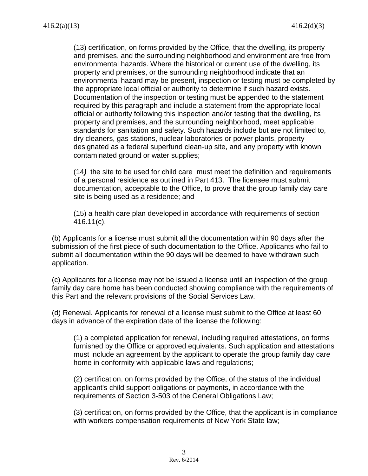(13) certification, on forms provided by the Office, that the dwelling, its property and premises, and the surrounding neighborhood and environment are free from environmental hazards. Where the historical or current use of the dwelling, its property and premises, or the surrounding neighborhood indicate that an environmental hazard may be present, inspection or testing must be completed by the appropriate local official or authority to determine if such hazard exists. Documentation of the inspection or testing must be appended to the statement required by this paragraph and include a statement from the appropriate local official or authority following this inspection and/or testing that the dwelling, its property and premises, and the surrounding neighborhood, meet applicable standards for sanitation and safety. Such hazards include but are not limited to, dry cleaners, gas stations, nuclear laboratories or power plants, property designated as a federal superfund clean-up site, and any property with known contaminated ground or water supplies;

(14*)* the site to be used for child care must meet the definition and requirements of a personal residence as outlined in Part 413. The licensee must submit documentation, acceptable to the Office, to prove that the group family day care site is being used as a residence; and

(15) a health care plan developed in accordance with requirements of section 416.11(c).

(b) Applicants for a license must submit all the documentation within 90 days after the submission of the first piece of such documentation to the Office. Applicants who fail to submit all documentation within the 90 days will be deemed to have withdrawn such application.

(c) Applicants for a license may not be issued a license until an inspection of the group family day care home has been conducted showing compliance with the requirements of this Part and the relevant provisions of the Social Services Law.

(d) Renewal. Applicants for renewal of a license must submit to the Office at least 60 days in advance of the expiration date of the license the following:

(1) a completed application for renewal, including required attestations, on forms furnished by the Office or approved equivalents. Such application and attestations must include an agreement by the applicant to operate the group family day care home in conformity with applicable laws and regulations;

(2) certification, on forms provided by the Office, of the status of the individual applicant's child support obligations or payments, in accordance with the requirements of Section 3-503 of the General Obligations Law;

(3) certification, on forms provided by the Office, that the applicant is in compliance with workers compensation requirements of New York State law;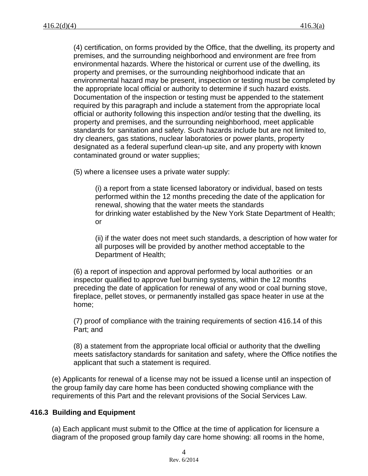(4) certification, on forms provided by the Office, that the dwelling, its property and premises, and the surrounding neighborhood and environment are free from environmental hazards. Where the historical or current use of the dwelling, its property and premises, or the surrounding neighborhood indicate that an environmental hazard may be present, inspection or testing must be completed by the appropriate local official or authority to determine if such hazard exists. Documentation of the inspection or testing must be appended to the statement required by this paragraph and include a statement from the appropriate local official or authority following this inspection and/or testing that the dwelling, its property and premises, and the surrounding neighborhood, meet applicable standards for sanitation and safety. Such hazards include but are not limited to, dry cleaners, gas stations, nuclear laboratories or power plants, property designated as a federal superfund clean-up site, and any property with known contaminated ground or water supplies;

(5) where a licensee uses a private water supply:

(i) a report from a state licensed laboratory or individual, based on tests performed within the 12 months preceding the date of the application for renewal, showing that the water meets the standards for drinking water established by the New York State Department of Health; or

(ii) if the water does not meet such standards, a description of how water for all purposes will be provided by another method acceptable to the Department of Health;

(6) a report of inspection and approval performed by local authorities or an inspector qualified to approve fuel burning systems, within the 12 months preceding the date of application for renewal of any wood or coal burning stove, fireplace, pellet stoves, or permanently installed gas space heater in use at the home;

(7) proof of compliance with the training requirements of section 416.14 of this Part; and

(8) a statement from the appropriate local official or authority that the dwelling meets satisfactory standards for sanitation and safety, where the Office notifies the applicant that such a statement is required.

(e) Applicants for renewal of a license may not be issued a license until an inspection of the group family day care home has been conducted showing compliance with the requirements of this Part and the relevant provisions of the Social Services Law.

### **416.3 Building and Equipment**

(a) Each applicant must submit to the Office at the time of application for licensure a diagram of the proposed group family day care home showing: all rooms in the home,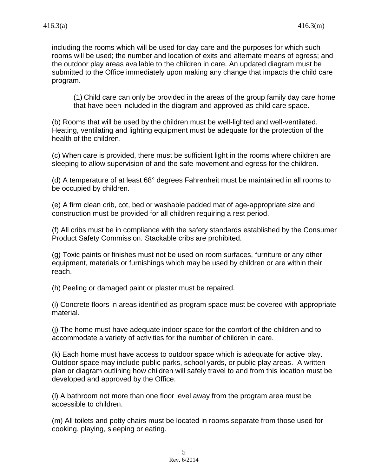including the rooms which will be used for day care and the purposes for which such rooms will be used; the number and location of exits and alternate means of egress; and the outdoor play areas available to the children in care. An updated diagram must be submitted to the Office immediately upon making any change that impacts the child care program.

(1) Child care can only be provided in the areas of the group family day care home that have been included in the diagram and approved as child care space.

(b) Rooms that will be used by the children must be well-lighted and well-ventilated. Heating, ventilating and lighting equipment must be adequate for the protection of the health of the children.

(c) When care is provided, there must be sufficient light in the rooms where children are sleeping to allow supervision of and the safe movement and egress for the children.

(d) A temperature of at least 68° degrees Fahrenheit must be maintained in all rooms to be occupied by children.

(e) A firm clean crib, cot, bed or washable padded mat of age-appropriate size and construction must be provided for all children requiring a rest period.

(f) All cribs must be in compliance with the safety standards established by the Consumer Product Safety Commission. Stackable cribs are prohibited.

(g) Toxic paints or finishes must not be used on room surfaces, furniture or any other equipment, materials or furnishings which may be used by children or are within their reach.

(h) Peeling or damaged paint or plaster must be repaired.

(i) Concrete floors in areas identified as program space must be covered with appropriate material.

(j) The home must have adequate indoor space for the comfort of the children and to accommodate a variety of activities for the number of children in care.

(k) Each home must have access to outdoor space which is adequate for active play. Outdoor space may include public parks, school yards, or public play areas. A written plan or diagram outlining how children will safely travel to and from this location must be developed and approved by the Office.

(l) A bathroom not more than one floor level away from the program area must be accessible to children.

(m) All toilets and potty chairs must be located in rooms separate from those used for cooking, playing, sleeping or eating.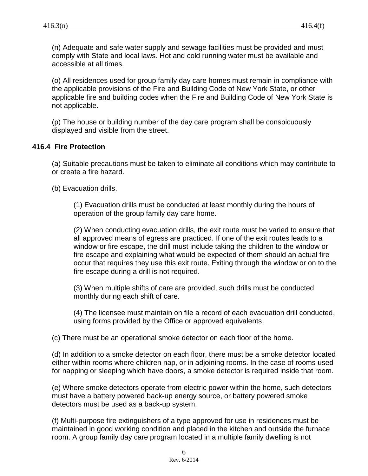(n) Adequate and safe water supply and sewage facilities must be provided and must comply with State and local laws. Hot and cold running water must be available and accessible at all times.

(o) All residences used for group family day care homes must remain in compliance with the applicable provisions of the Fire and Building Code of New York State, or other applicable fire and building codes when the Fire and Building Code of New York State is not applicable.

(p) The house or building number of the day care program shall be conspicuously displayed and visible from the street.

# **416.4 Fire Protection**

(a) Suitable precautions must be taken to eliminate all conditions which may contribute to or create a fire hazard.

(b) Evacuation drills.

(1) Evacuation drills must be conducted at least monthly during the hours of operation of the group family day care home.

(2) When conducting evacuation drills, the exit route must be varied to ensure that all approved means of egress are practiced. If one of the exit routes leads to a window or fire escape, the drill must include taking the children to the window or fire escape and explaining what would be expected of them should an actual fire occur that requires they use this exit route. Exiting through the window or on to the fire escape during a drill is not required.

(3) When multiple shifts of care are provided, such drills must be conducted monthly during each shift of care.

(4) The licensee must maintain on file a record of each evacuation drill conducted, using forms provided by the Office or approved equivalents.

(c) There must be an operational smoke detector on each floor of the home.

(d) In addition to a smoke detector on each floor, there must be a smoke detector located either within rooms where children nap, or in adjoining rooms. In the case of rooms used for napping or sleeping which have doors, a smoke detector is required inside that room.

(e) Where smoke detectors operate from electric power within the home, such detectors must have a battery powered back-up energy source, or battery powered smoke detectors must be used as a back-up system.

(f) Multi-purpose fire extinguishers of a type approved for use in residences must be maintained in good working condition and placed in the kitchen and outside the furnace room. A group family day care program located in a multiple family dwelling is not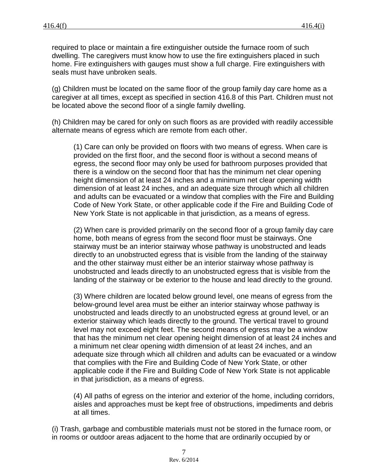required to place or maintain a fire extinguisher outside the furnace room of such dwelling. The caregivers must know how to use the fire extinguishers placed in such home. Fire extinguishers with gauges must show a full charge. Fire extinguishers with seals must have unbroken seals.

(g) Children must be located on the same floor of the group family day care home as a caregiver at all times, except as specified in section 416.8 of this Part. Children must not be located above the second floor of a single family dwelling.

(h) Children may be cared for only on such floors as are provided with readily accessible alternate means of egress which are remote from each other.

(1) Care can only be provided on floors with two means of egress. When care is provided on the first floor, and the second floor is without a second means of egress, the second floor may only be used for bathroom purposes provided that there is a window on the second floor that has the minimum net clear opening height dimension of at least 24 inches and a minimum net clear opening width dimension of at least 24 inches, and an adequate size through which all children and adults can be evacuated or a window that complies with the Fire and Building Code of New York State, or other applicable code if the Fire and Building Code of New York State is not applicable in that jurisdiction, as a means of egress.

(2) When care is provided primarily on the second floor of a group family day care home, both means of egress from the second floor must be stairways. One stairway must be an interior stairway whose pathway is unobstructed and leads directly to an unobstructed egress that is visible from the landing of the stairway and the other stairway must either be an interior stairway whose pathway is unobstructed and leads directly to an unobstructed egress that is visible from the landing of the stairway or be exterior to the house and lead directly to the ground.

(3) Where children are located below ground level, one means of egress from the below-ground level area must be either an interior stairway whose pathway is unobstructed and leads directly to an unobstructed egress at ground level, or an exterior stairway which leads directly to the ground. The vertical travel to ground level may not exceed eight feet. The second means of egress may be a window that has the minimum net clear opening height dimension of at least 24 inches and a minimum net clear opening width dimension of at least 24 inches, and an adequate size through which all children and adults can be evacuated or a window that complies with the Fire and Building Code of New York State, or other applicable code if the Fire and Building Code of New York State is not applicable in that jurisdiction, as a means of egress.

(4) All paths of egress on the interior and exterior of the home, including corridors, aisles and approaches must be kept free of obstructions, impediments and debris at all times.

(i) Trash, garbage and combustible materials must not be stored in the furnace room, or in rooms or outdoor areas adjacent to the home that are ordinarily occupied by or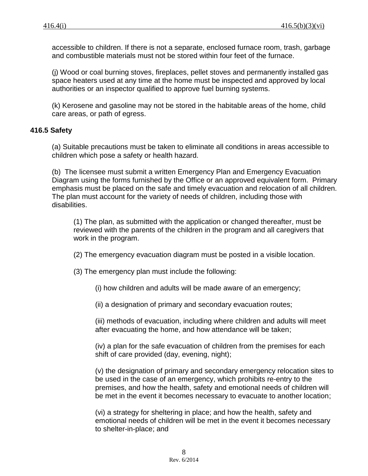accessible to children. If there is not a separate, enclosed furnace room, trash, garbage and combustible materials must not be stored within four feet of the furnace.

(j) Wood or coal burning stoves, fireplaces, pellet stoves and permanently installed gas space heaters used at any time at the home must be inspected and approved by local authorities or an inspector qualified to approve fuel burning systems.

(k) Kerosene and gasoline may not be stored in the habitable areas of the home, child care areas, or path of egress.

### **416.5 Safety**

(a) Suitable precautions must be taken to eliminate all conditions in areas accessible to children which pose a safety or health hazard.

(b) The licensee must submit a written Emergency Plan and Emergency Evacuation Diagram using the forms furnished by the Office or an approved equivalent form. Primary emphasis must be placed on the safe and timely evacuation and relocation of all children. The plan must account for the variety of needs of children, including those with disabilities.

(1) The plan, as submitted with the application or changed thereafter, must be reviewed with the parents of the children in the program and all caregivers that work in the program.

(2) The emergency evacuation diagram must be posted in a visible location.

(3) The emergency plan must include the following:

(i) how children and adults will be made aware of an emergency;

(ii) a designation of primary and secondary evacuation routes;

(iii) methods of evacuation, including where children and adults will meet after evacuating the home, and how attendance will be taken;

(iv) a plan for the safe evacuation of children from the premises for each shift of care provided (day, evening, night);

(v) the designation of primary and secondary emergency relocation sites to be used in the case of an emergency, which prohibits re-entry to the premises, and how the health, safety and emotional needs of children will be met in the event it becomes necessary to evacuate to another location;

(vi) a strategy for sheltering in place; and how the health, safety and emotional needs of children will be met in the event it becomes necessary to shelter-in-place; and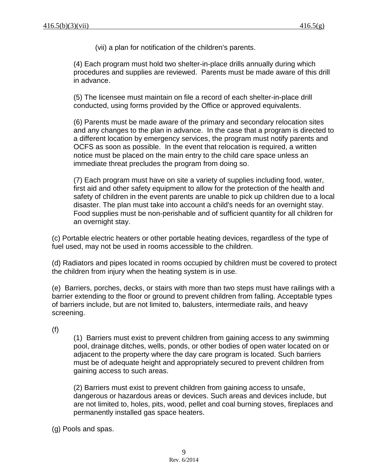(vii) a plan for notification of the children's parents.

(4) Each program must hold two shelter-in-place drills annually during which procedures and supplies are reviewed. Parents must be made aware of this drill in advance.

(5) The licensee must maintain on file a record of each shelter-in-place drill conducted, using forms provided by the Office or approved equivalents.

(6) Parents must be made aware of the primary and secondary relocation sites and any changes to the plan in advance. In the case that a program is directed to a different location by emergency services, the program must notify parents and OCFS as soon as possible. In the event that relocation is required, a written notice must be placed on the main entry to the child care space unless an immediate threat precludes the program from doing so.

(7) Each program must have on site a variety of supplies including food, water, first aid and other safety equipment to allow for the protection of the health and safety of children in the event parents are unable to pick up children due to a local disaster. The plan must take into account a child's needs for an overnight stay. Food supplies must be non-perishable and of sufficient quantity for all children for an overnight stay.

(c) Portable electric heaters or other portable heating devices, regardless of the type of fuel used, may not be used in rooms accessible to the children.

(d) Radiators and pipes located in rooms occupied by children must be covered to protect the children from injury when the heating system is in use.

(e) Barriers, porches, decks, or stairs with more than two steps must have railings with a barrier extending to the floor or ground to prevent children from falling. Acceptable types of barriers include, but are not limited to, balusters, intermediate rails, and heavy screening.

(f)

(1) Barriers must exist to prevent children from gaining access to any swimming pool, drainage ditches, wells, ponds, or other bodies of open water located on or adjacent to the property where the day care program is located. Such barriers must be of adequate height and appropriately secured to prevent children from gaining access to such areas.

(2) Barriers must exist to prevent children from gaining access to unsafe, dangerous or hazardous areas or devices. Such areas and devices include, but are not limited to, holes, pits, wood, pellet and coal burning stoves, fireplaces and permanently installed gas space heaters.

(g) Pools and spas.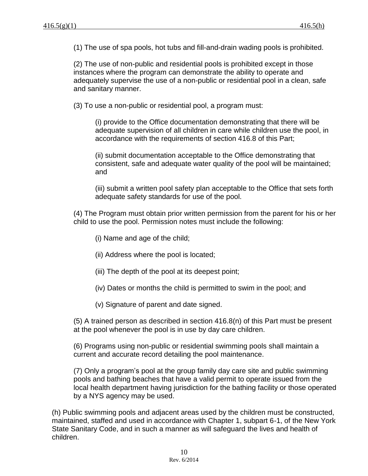(1) The use of spa pools, hot tubs and fill-and-drain wading pools is prohibited.

(2) The use of non-public and residential pools is prohibited except in those instances where the program can demonstrate the ability to operate and adequately supervise the use of a non-public or residential pool in a clean, safe and sanitary manner.

(3) To use a non-public or residential pool, a program must:

(i) provide to the Office documentation demonstrating that there will be adequate supervision of all children in care while children use the pool, in accordance with the requirements of section 416.8 of this Part;

(ii) submit documentation acceptable to the Office demonstrating that consistent, safe and adequate water quality of the pool will be maintained; and

(iii) submit a written pool safety plan acceptable to the Office that sets forth adequate safety standards for use of the pool.

(4) The Program must obtain prior written permission from the parent for his or her child to use the pool. Permission notes must include the following:

- (i) Name and age of the child;
- (ii) Address where the pool is located;
- (iii) The depth of the pool at its deepest point;
- (iv) Dates or months the child is permitted to swim in the pool; and
- (v) Signature of parent and date signed.

(5) A trained person as described in section 416.8(n) of this Part must be present at the pool whenever the pool is in use by day care children.

(6) Programs using non-public or residential swimming pools shall maintain a current and accurate record detailing the pool maintenance.

(7) Only a program's pool at the group family day care site and public swimming pools and bathing beaches that have a valid permit to operate issued from the local health department having jurisdiction for the bathing facility or those operated by a NYS agency may be used.

(h) Public swimming pools and adjacent areas used by the children must be constructed, maintained, staffed and used in accordance with Chapter 1, subpart 6-1, of the New York State Sanitary Code, and in such a manner as will safeguard the lives and health of children.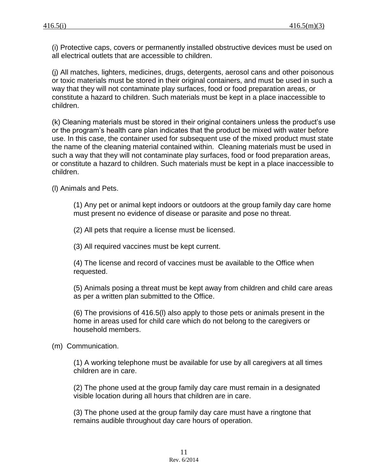(i) Protective caps, covers or permanently installed obstructive devices must be used on all electrical outlets that are accessible to children.

(j) All matches, lighters, medicines, drugs, detergents, aerosol cans and other poisonous or toxic materials must be stored in their original containers, and must be used in such a way that they will not contaminate play surfaces, food or food preparation areas, or constitute a hazard to children. Such materials must be kept in a place inaccessible to children.

(k) Cleaning materials must be stored in their original containers unless the product's use or the program's health care plan indicates that the product be mixed with water before use. In this case, the container used for subsequent use of the mixed product must state the name of the cleaning material contained within. Cleaning materials must be used in such a way that they will not contaminate play surfaces, food or food preparation areas, or constitute a hazard to children. Such materials must be kept in a place inaccessible to children.

(l) Animals and Pets.

(1) Any pet or animal kept indoors or outdoors at the group family day care home must present no evidence of disease or parasite and pose no threat.

(2) All pets that require a license must be licensed.

(3) All required vaccines must be kept current.

(4) The license and record of vaccines must be available to the Office when requested.

(5) Animals posing a threat must be kept away from children and child care areas as per a written plan submitted to the Office.

(6) The provisions of 416.5(l) also apply to those pets or animals present in the home in areas used for child care which do not belong to the caregivers or household members.

(m) Communication.

(1) A working telephone must be available for use by all caregivers at all times children are in care.

(2) The phone used at the group family day care must remain in a designated visible location during all hours that children are in care.

(3) The phone used at the group family day care must have a ringtone that remains audible throughout day care hours of operation.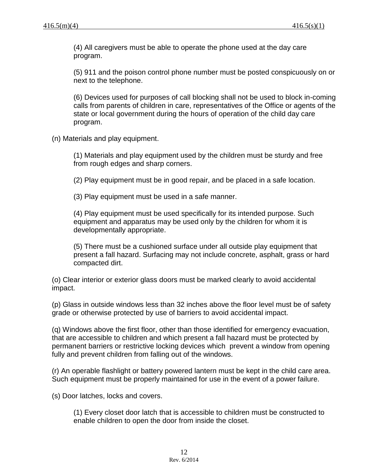(4) All caregivers must be able to operate the phone used at the day care program.

(5) 911 and the poison control phone number must be posted conspicuously on or next to the telephone.

(6) Devices used for purposes of call blocking shall not be used to block in-coming calls from parents of children in care, representatives of the Office or agents of the state or local government during the hours of operation of the child day care program.

(n) Materials and play equipment.

(1) Materials and play equipment used by the children must be sturdy and free from rough edges and sharp corners.

(2) Play equipment must be in good repair, and be placed in a safe location.

(3) Play equipment must be used in a safe manner.

(4) Play equipment must be used specifically for its intended purpose. Such equipment and apparatus may be used only by the children for whom it is developmentally appropriate.

(5) There must be a cushioned surface under all outside play equipment that present a fall hazard. Surfacing may not include concrete, asphalt, grass or hard compacted dirt.

(o) Clear interior or exterior glass doors must be marked clearly to avoid accidental impact.

(p) Glass in outside windows less than 32 inches above the floor level must be of safety grade or otherwise protected by use of barriers to avoid accidental impact.

(q) Windows above the first floor, other than those identified for emergency evacuation, that are accessible to children and which present a fall hazard must be protected by permanent barriers or restrictive locking devices which prevent a window from opening fully and prevent children from falling out of the windows.

(r) An operable flashlight or battery powered lantern must be kept in the child care area. Such equipment must be properly maintained for use in the event of a power failure.

(s) Door latches, locks and covers.

(1) Every closet door latch that is accessible to children must be constructed to enable children to open the door from inside the closet.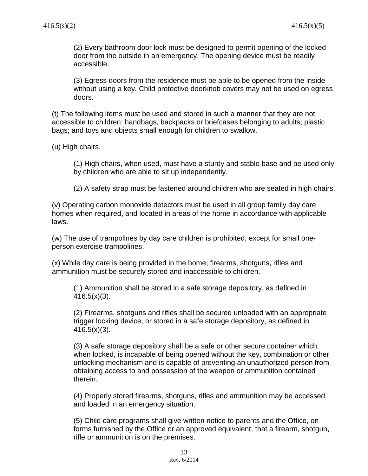(2) Every bathroom door lock must be designed to permit opening of the locked door from the outside in an emergency. The opening device must be readily accessible.

(3) Egress doors from the residence must be able to be opened from the inside without using a key. Child protective doorknob covers may not be used on egress doors.

(t) The following items must be used and stored in such a manner that they are not accessible to children: handbags, backpacks or briefcases belonging to adults; plastic bags; and toys and objects small enough for children to swallow.

(u) High chairs.

(1) High chairs, when used, must have a sturdy and stable base and be used only by children who are able to sit up independently.

(2) A safety strap must be fastened around children who are seated in high chairs.

(v) Operating carbon monoxide detectors must be used in all group family day care homes when required, and located in areas of the home in accordance with applicable laws.

(w) The use of trampolines by day care children is prohibited, except for small oneperson exercise trampolines.

(x) While day care is being provided in the home, firearms, shotguns, rifles and ammunition must be securely stored and inaccessible to children.

(1) Ammunition shall be stored in a safe storage depository, as defined in  $416.5(x)(3)$ .

(2) Firearms, shotguns and rifles shall be secured unloaded with an appropriate trigger locking device, or stored in a safe storage depository, as defined in 416.5(x)(3).

(3) A safe storage depository shall be a safe or other secure container which, when locked, is incapable of being opened without the key, combination or other unlocking mechanism and is capable of preventing an unauthorized person from obtaining access to and possession of the weapon or ammunition contained therein.

(4) Properly stored firearms, shotguns, rifles and ammunition may be accessed and loaded in an emergency situation.

(5) Child care programs shall give written notice to parents and the Office, on forms furnished by the Office or an approved equivalent, that a firearm, shotgun, rifle or ammunition is on the premises.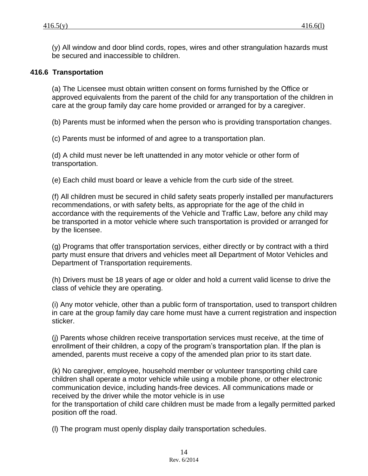(y) All window and door blind cords, ropes, wires and other strangulation hazards must be secured and inaccessible to children.

# **416.6 Transportation**

(a) The Licensee must obtain written consent on forms furnished by the Office or approved equivalents from the parent of the child for any transportation of the children in care at the group family day care home provided or arranged for by a caregiver.

(b) Parents must be informed when the person who is providing transportation changes.

(c) Parents must be informed of and agree to a transportation plan.

(d) A child must never be left unattended in any motor vehicle or other form of transportation.

(e) Each child must board or leave a vehicle from the curb side of the street.

(f) All children must be secured in child safety seats properly installed per manufacturers recommendations, or with safety belts, as appropriate for the age of the child in accordance with the requirements of the Vehicle and Traffic Law, before any child may be transported in a motor vehicle where such transportation is provided or arranged for by the licensee.

(g) Programs that offer transportation services, either directly or by contract with a third party must ensure that drivers and vehicles meet all Department of Motor Vehicles and Department of Transportation requirements.

(h) Drivers must be 18 years of age or older and hold a current valid license to drive the class of vehicle they are operating.

(i) Any motor vehicle, other than a public form of transportation, used to transport children in care at the group family day care home must have a current registration and inspection sticker.

(j) Parents whose children receive transportation services must receive, at the time of enrollment of their children, a copy of the program's transportation plan. If the plan is amended, parents must receive a copy of the amended plan prior to its start date.

(k) No caregiver, employee, household member or volunteer transporting child care children shall operate a motor vehicle while using a mobile phone, or other electronic communication device, including hands-free devices. All communications made or received by the driver while the motor vehicle is in use

for the transportation of child care children must be made from a legally permitted parked position off the road.

(l) The program must openly display daily transportation schedules.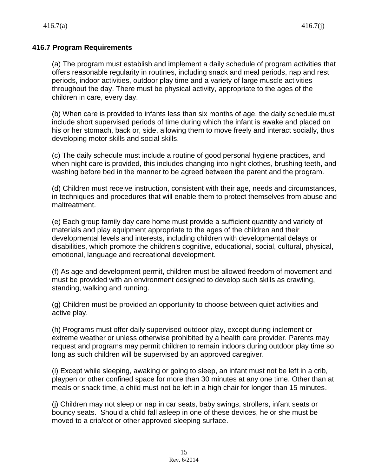# **416.7 Program Requirements**

(a) The program must establish and implement a daily schedule of program activities that offers reasonable regularity in routines, including snack and meal periods, nap and rest periods, indoor activities, outdoor play time and a variety of large muscle activities throughout the day. There must be physical activity, appropriate to the ages of the children in care, every day.

(b) When care is provided to infants less than six months of age, the daily schedule must include short supervised periods of time during which the infant is awake and placed on his or her stomach, back or, side, allowing them to move freely and interact socially, thus developing motor skills and social skills.

(c) The daily schedule must include a routine of good personal hygiene practices, and when night care is provided, this includes changing into night clothes, brushing teeth, and washing before bed in the manner to be agreed between the parent and the program.

(d) Children must receive instruction, consistent with their age, needs and circumstances, in techniques and procedures that will enable them to protect themselves from abuse and maltreatment.

(e) Each group family day care home must provide a sufficient quantity and variety of materials and play equipment appropriate to the ages of the children and their developmental levels and interests, including children with developmental delays or disabilities, which promote the children's cognitive, educational, social, cultural, physical, emotional, language and recreational development.

(f) As age and development permit, children must be allowed freedom of movement and must be provided with an environment designed to develop such skills as crawling, standing, walking and running.

(g) Children must be provided an opportunity to choose between quiet activities and active play.

(h) Programs must offer daily supervised outdoor play, except during inclement or extreme weather or unless otherwise prohibited by a health care provider. Parents may request and programs may permit children to remain indoors during outdoor play time so long as such children will be supervised by an approved caregiver.

(i) Except while sleeping, awaking or going to sleep, an infant must not be left in a crib, playpen or other confined space for more than 30 minutes at any one time. Other than at meals or snack time, a child must not be left in a high chair for longer than 15 minutes.

(j) Children may not sleep or nap in car seats, baby swings, strollers, infant seats or bouncy seats. Should a child fall asleep in one of these devices, he or she must be moved to a crib/cot or other approved sleeping surface.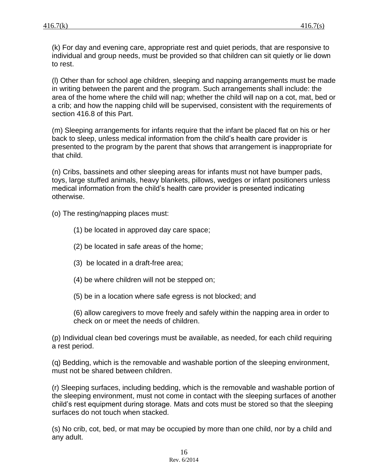(k) For day and evening care, appropriate rest and quiet periods, that are responsive to individual and group needs, must be provided so that children can sit quietly or lie down to rest.

(l) Other than for school age children, sleeping and napping arrangements must be made in writing between the parent and the program. Such arrangements shall include: the area of the home where the child will nap; whether the child will nap on a cot, mat, bed or a crib; and how the napping child will be supervised, consistent with the requirements of section 416.8 of this Part.

(m) Sleeping arrangements for infants require that the infant be placed flat on his or her back to sleep, unless medical information from the child's health care provider is presented to the program by the parent that shows that arrangement is inappropriate for that child.

(n) Cribs, bassinets and other sleeping areas for infants must not have bumper pads, toys, large stuffed animals, heavy blankets, pillows, wedges or infant positioners unless medical information from the child's health care provider is presented indicating otherwise.

(o) The resting/napping places must:

- (1) be located in approved day care space;
- (2) be located in safe areas of the home;
- (3) be located in a draft-free area;
- (4) be where children will not be stepped on;
- (5) be in a location where safe egress is not blocked; and

(6) allow caregivers to move freely and safely within the napping area in order to check on or meet the needs of children.

(p) Individual clean bed coverings must be available, as needed, for each child requiring a rest period.

(q) Bedding, which is the removable and washable portion of the sleeping environment, must not be shared between children.

(r) Sleeping surfaces, including bedding, which is the removable and washable portion of the sleeping environment, must not come in contact with the sleeping surfaces of another child's rest equipment during storage. Mats and cots must be stored so that the sleeping surfaces do not touch when stacked.

(s) No crib, cot, bed, or mat may be occupied by more than one child, nor by a child and any adult.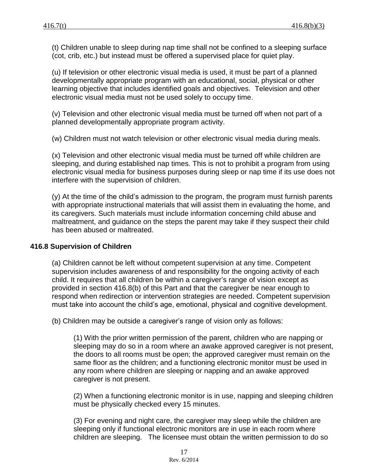(t) Children unable to sleep during nap time shall not be confined to a sleeping surface (cot, crib, etc.) but instead must be offered a supervised place for quiet play.

(u) If television or other electronic visual media is used, it must be part of a planned developmentally appropriate program with an educational, social, physical or other learning objective that includes identified goals and objectives. Television and other electronic visual media must not be used solely to occupy time.

(v) Television and other electronic visual media must be turned off when not part of a planned developmentally appropriate program activity.

(w) Children must not watch television or other electronic visual media during meals.

(x) Television and other electronic visual media must be turned off while children are sleeping, and during established nap times. This is not to prohibit a program from using electronic visual media for business purposes during sleep or nap time if its use does not interfere with the supervision of children.

(y) At the time of the child's admission to the program, the program must furnish parents with appropriate instructional materials that will assist them in evaluating the home, and its caregivers. Such materials must include information concerning child abuse and maltreatment, and guidance on the steps the parent may take if they suspect their child has been abused or maltreated.

### **416.8 Supervision of Children**

(a) Children cannot be left without competent supervision at any time. Competent supervision includes awareness of and responsibility for the ongoing activity of each child. It requires that all children be within a caregiver's range of vision except as provided in section 416.8(b) of this Part and that the caregiver be near enough to respond when redirection or intervention strategies are needed. Competent supervision must take into account the child's age, emotional, physical and cognitive development.

(b) Children may be outside a caregiver's range of vision only as follows:

(1) With the prior written permission of the parent, children who are napping or sleeping may do so in a room where an awake approved caregiver is not present, the doors to all rooms must be open; the approved caregiver must remain on the same floor as the children; and a functioning electronic monitor must be used in any room where children are sleeping or napping and an awake approved caregiver is not present.

(2) When a functioning electronic monitor is in use, napping and sleeping children must be physically checked every 15 minutes.

(3) For evening and night care, the caregiver may sleep while the children are sleeping only if functional electronic monitors are in use in each room where children are sleeping. The licensee must obtain the written permission to do so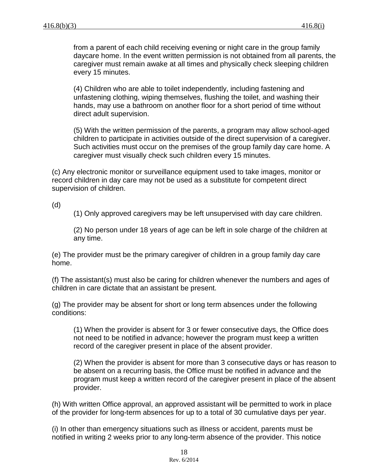from a parent of each child receiving evening or night care in the group family daycare home. In the event written permission is not obtained from all parents, the caregiver must remain awake at all times and physically check sleeping children every 15 minutes.

(4) Children who are able to toilet independently, including fastening and unfastening clothing, wiping themselves, flushing the toilet, and washing their hands, may use a bathroom on another floor for a short period of time without direct adult supervision.

(5) With the written permission of the parents, a program may allow school-aged children to participate in activities outside of the direct supervision of a caregiver. Such activities must occur on the premises of the group family day care home. A caregiver must visually check such children every 15 minutes.

(c) Any electronic monitor or surveillance equipment used to take images, monitor or record children in day care may not be used as a substitute for competent direct supervision of children.

(d)

(1) Only approved caregivers may be left unsupervised with day care children.

(2) No person under 18 years of age can be left in sole charge of the children at any time.

(e) The provider must be the primary caregiver of children in a group family day care home.

(f) The assistant(s) must also be caring for children whenever the numbers and ages of children in care dictate that an assistant be present.

(g) The provider may be absent for short or long term absences under the following conditions:

(1) When the provider is absent for 3 or fewer consecutive days, the Office does not need to be notified in advance; however the program must keep a written record of the caregiver present in place of the absent provider.

(2) When the provider is absent for more than 3 consecutive days or has reason to be absent on a recurring basis, the Office must be notified in advance and the program must keep a written record of the caregiver present in place of the absent provider.

(h) With written Office approval, an approved assistant will be permitted to work in place of the provider for long-term absences for up to a total of 30 cumulative days per year.

(i) In other than emergency situations such as illness or accident, parents must be notified in writing 2 weeks prior to any long-term absence of the provider. This notice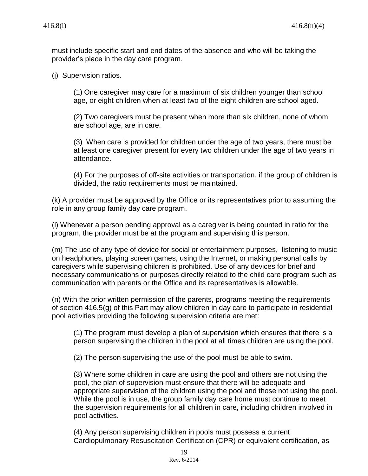must include specific start and end dates of the absence and who will be taking the provider's place in the day care program.

(j) Supervision ratios.

(1) One caregiver may care for a maximum of six children younger than school age, or eight children when at least two of the eight children are school aged.

(2) Two caregivers must be present when more than six children, none of whom are school age, are in care.

(3) When care is provided for children under the age of two years, there must be at least one caregiver present for every two children under the age of two years in attendance.

(4) For the purposes of off-site activities or transportation, if the group of children is divided, the ratio requirements must be maintained.

(k) A provider must be approved by the Office or its representatives prior to assuming the role in any group family day care program.

(l) Whenever a person pending approval as a caregiver is being counted in ratio for the program, the provider must be at the program and supervising this person.

(m) The use of any type of device for social or entertainment purposes, listening to music on headphones, playing screen games, using the Internet, or making personal calls by caregivers while supervising children is prohibited. Use of any devices for brief and necessary communications or purposes directly related to the child care program such as communication with parents or the Office and its representatives is allowable.

(n) With the prior written permission of the parents, programs meeting the requirements of section 416.5(g) of this Part may allow children in day care to participate in residential pool activities providing the following supervision criteria are met:

(1) The program must develop a plan of supervision which ensures that there is a person supervising the children in the pool at all times children are using the pool.

(2) The person supervising the use of the pool must be able to swim.

(3) Where some children in care are using the pool and others are not using the pool, the plan of supervision must ensure that there will be adequate and appropriate supervision of the children using the pool and those not using the pool. While the pool is in use, the group family day care home must continue to meet the supervision requirements for all children in care, including children involved in pool activities.

(4) Any person supervising children in pools must possess a current Cardiopulmonary Resuscitation Certification (CPR) or equivalent certification, as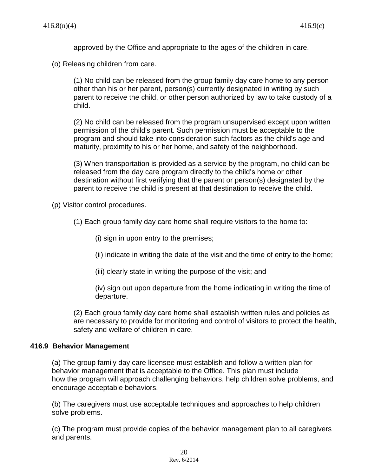approved by the Office and appropriate to the ages of the children in care.

(o) Releasing children from care.

(1) No child can be released from the group family day care home to any person other than his or her parent, person(s) currently designated in writing by such parent to receive the child, or other person authorized by law to take custody of a child.

(2) No child can be released from the program unsupervised except upon written permission of the child's parent. Such permission must be acceptable to the program and should take into consideration such factors as the child's age and maturity, proximity to his or her home, and safety of the neighborhood.

(3) When transportation is provided as a service by the program, no child can be released from the day care program directly to the child's home or other destination without first verifying that the parent or person(s) designated by the parent to receive the child is present at that destination to receive the child.

(p) Visitor control procedures.

(1) Each group family day care home shall require visitors to the home to:

(i) sign in upon entry to the premises;

(ii) indicate in writing the date of the visit and the time of entry to the home;

(iii) clearly state in writing the purpose of the visit; and

(iv) sign out upon departure from the home indicating in writing the time of departure.

(2) Each group family day care home shall establish written rules and policies as are necessary to provide for monitoring and control of visitors to protect the health, safety and welfare of children in care.

### **416.9 Behavior Management**

(a) The group family day care licensee must establish and follow a written plan for behavior management that is acceptable to the Office. This plan must include how the program will approach challenging behaviors, help children solve problems, and encourage acceptable behaviors.

(b) The caregivers must use acceptable techniques and approaches to help children solve problems.

(c) The program must provide copies of the behavior management plan to all caregivers and parents.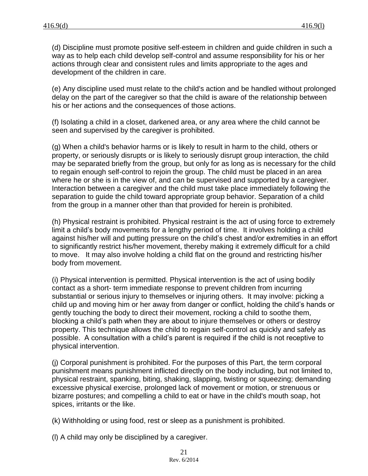(d) Discipline must promote positive self-esteem in children and guide children in such a way as to help each child develop self-control and assume responsibility for his or her actions through clear and consistent rules and limits appropriate to the ages and development of the children in care.

(e) Any discipline used must relate to the child's action and be handled without prolonged delay on the part of the caregiver so that the child is aware of the relationship between his or her actions and the consequences of those actions.

(f) Isolating a child in a closet, darkened area, or any area where the child cannot be seen and supervised by the caregiver is prohibited.

(g) When a child's behavior harms or is likely to result in harm to the child, others or property, or seriously disrupts or is likely to seriously disrupt group interaction, the child may be separated briefly from the group, but only for as long as is necessary for the child to regain enough self-control to rejoin the group. The child must be placed in an area where he or she is in the view of, and can be supervised and supported by a caregiver. Interaction between a caregiver and the child must take place immediately following the separation to guide the child toward appropriate group behavior. Separation of a child from the group in a manner other than that provided for herein is prohibited.

(h) Physical restraint is prohibited. Physical restraint is the act of using force to extremely limit a child's body movements for a lengthy period of time. It involves holding a child against his/her will and putting pressure on the child's chest and/or extremities in an effort to significantly restrict his/her movement, thereby making it extremely difficult for a child to move. It may also involve holding a child flat on the ground and restricting his/her body from movement.

(i) Physical intervention is permitted. Physical intervention is the act of using bodily contact as a short- term immediate response to prevent children from incurring substantial or serious injury to themselves or injuring others. It may involve: picking a child up and moving him or her away from danger or conflict, holding the child's hands or gently touching the body to direct their movement, rocking a child to soothe them, blocking a child's path when they are about to injure themselves or others or destroy property. This technique allows the child to regain self-control as quickly and safely as possible. A consultation with a child's parent is required if the child is not receptive to physical intervention.

(j) Corporal punishment is prohibited. For the purposes of this Part, the term corporal punishment means punishment inflicted directly on the body including, but not limited to, physical restraint, spanking, biting, shaking, slapping, twisting or squeezing; demanding excessive physical exercise, prolonged lack of movement or motion, or strenuous or bizarre postures; and compelling a child to eat or have in the child's mouth soap, hot spices, irritants or the like.

(k) Withholding or using food, rest or sleep as a punishment is prohibited.

(l) A child may only be disciplined by a caregiver.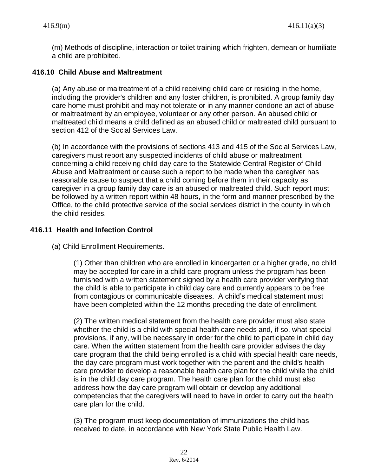(m) Methods of discipline, interaction or toilet training which frighten, demean or humiliate a child are prohibited.

#### **416.10 Child Abuse and Maltreatment**

(a) Any abuse or maltreatment of a child receiving child care or residing in the home, including the provider's children and any foster children, is prohibited. A group family day care home must prohibit and may not tolerate or in any manner condone an act of abuse or maltreatment by an employee, volunteer or any other person. An abused child or maltreated child means a child defined as an abused child or maltreated child pursuant to section 412 of the Social Services Law.

(b) In accordance with the provisions of sections 413 and 415 of the Social Services Law, caregivers must report any suspected incidents of child abuse or maltreatment concerning a child receiving child day care to the Statewide Central Register of Child Abuse and Maltreatment or cause such a report to be made when the caregiver has reasonable cause to suspect that a child coming before them in their capacity as caregiver in a group family day care is an abused or maltreated child. Such report must be followed by a written report within 48 hours, in the form and manner prescribed by the Office, to the child protective service of the social services district in the county in which the child resides.

### **416.11 Health and Infection Control**

(a) Child Enrollment Requirements.

(1) Other than children who are enrolled in kindergarten or a higher grade, no child may be accepted for care in a child care program unless the program has been furnished with a written statement signed by a health care provider verifying that the child is able to participate in child day care and currently appears to be free from contagious or communicable diseases. A child's medical statement must have been completed within the 12 months preceding the date of enrollment.

(2) The written medical statement from the health care provider must also state whether the child is a child with special health care needs and, if so, what special provisions, if any, will be necessary in order for the child to participate in child day care. When the written statement from the health care provider advises the day care program that the child being enrolled is a child with special health care needs, the day care program must work together with the parent and the child's health care provider to develop a reasonable health care plan for the child while the child is in the child day care program. The health care plan for the child must also address how the day care program will obtain or develop any additional competencies that the caregivers will need to have in order to carry out the health care plan for the child.

(3) The program must keep documentation of immunizations the child has received to date, in accordance with New York State Public Health Law.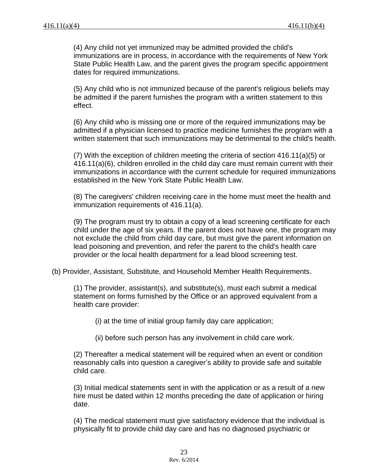(4) Any child not yet immunized may be admitted provided the child's immunizations are in process, in accordance with the requirements of New York State Public Health Law, and the parent gives the program specific appointment dates for required immunizations.

(5) Any child who is not immunized because of the parent's religious beliefs may be admitted if the parent furnishes the program with a written statement to this effect.

(6) Any child who is missing one or more of the required immunizations may be admitted if a physician licensed to practice medicine furnishes the program with a written statement that such immunizations may be detrimental to the child's health.

(7) With the exception of children meeting the criteria of section 416.11(a)(5) or 416.11(a)(6), children enrolled in the child day care must remain current with their immunizations in accordance with the current schedule for required immunizations established in the New York State Public Health Law.

(8) The caregivers' children receiving care in the home must meet the health and immunization requirements of 416.11(a).

(9) The program must try to obtain a copy of a lead screening certificate for each child under the age of six years. If the parent does not have one, the program may not exclude the child from child day care, but must give the parent information on lead poisoning and prevention, and refer the parent to the child's health care provider or the local health department for a lead blood screening test.

(b) Provider, Assistant, Substitute, and Household Member Health Requirements.

(1) The provider, assistant(s), and substitute(s), must each submit a medical statement on forms furnished by the Office or an approved equivalent from a health care provider:

(i) at the time of initial group family day care application;

(ii) before such person has any involvement in child care work.

(2) Thereafter a medical statement will be required when an event or condition reasonably calls into question a caregiver's ability to provide safe and suitable child care.

(3) Initial medical statements sent in with the application or as a result of a new hire must be dated within 12 months preceding the date of application or hiring date.

(4) The medical statement must give satisfactory evidence that the individual is physically fit to provide child day care and has no diagnosed psychiatric or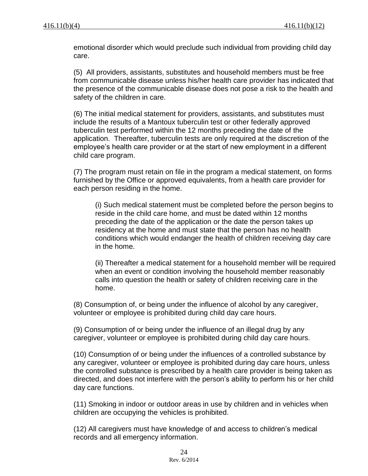emotional disorder which would preclude such individual from providing child day care.

(5) All providers, assistants, substitutes and household members must be free from communicable disease unless his/her health care provider has indicated that the presence of the communicable disease does not pose a risk to the health and safety of the children in care.

(6) The initial medical statement for providers, assistants, and substitutes must include the results of a Mantoux tuberculin test or other federally approved tuberculin test performed within the 12 months preceding the date of the application. Thereafter, tuberculin tests are only required at the discretion of the employee's health care provider or at the start of new employment in a different child care program.

(7) The program must retain on file in the program a medical statement, on forms furnished by the Office or approved equivalents, from a health care provider for each person residing in the home.

(i) Such medical statement must be completed before the person begins to reside in the child care home, and must be dated within 12 months preceding the date of the application or the date the person takes up residency at the home and must state that the person has no health conditions which would endanger the health of children receiving day care in the home.

(ii) Thereafter a medical statement for a household member will be required when an event or condition involving the household member reasonably calls into question the health or safety of children receiving care in the home.

(8) Consumption of, or being under the influence of alcohol by any caregiver, volunteer or employee is prohibited during child day care hours.

(9) Consumption of or being under the influence of an illegal drug by any caregiver, volunteer or employee is prohibited during child day care hours.

(10) Consumption of or being under the influences of a controlled substance by any caregiver, volunteer or employee is prohibited during day care hours, unless the controlled substance is prescribed by a health care provider is being taken as directed, and does not interfere with the person's ability to perform his or her child day care functions.

(11) Smoking in indoor or outdoor areas in use by children and in vehicles when children are occupying the vehicles is prohibited.

(12) All caregivers must have knowledge of and access to children's medical records and all emergency information.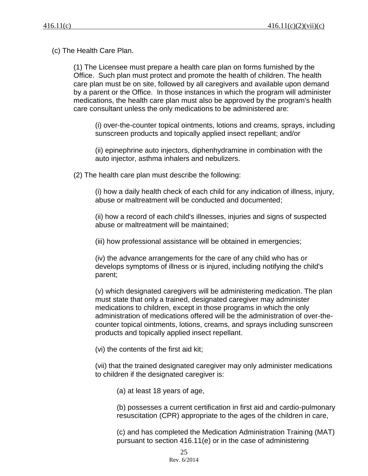(c) The Health Care Plan.

(1) The Licensee must prepare a health care plan on forms furnished by the Office. Such plan must protect and promote the health of children. The health care plan must be on site, followed by all caregivers and available upon demand by a parent or the Office. In those instances in which the program will administer medications, the health care plan must also be approved by the program's health care consultant unless the only medications to be administered are:

(i) over-the-counter topical ointments, lotions and creams, sprays, including sunscreen products and topically applied insect repellant; and/or

(ii) epinephrine auto injectors, diphenhydramine in combination with the auto injector, asthma inhalers and nebulizers.

(2) The health care plan must describe the following:

(i) how a daily health check of each child for any indication of illness, injury, abuse or maltreatment will be conducted and documented;

(ii) how a record of each child's illnesses, injuries and signs of suspected abuse or maltreatment will be maintained;

(iii) how professional assistance will be obtained in emergencies;

(iv) the advance arrangements for the care of any child who has or develops symptoms of illness or is injured, including notifying the child's parent;

(v) which designated caregivers will be administering medication. The plan must state that only a trained, designated caregiver may administer medications to children, except in those programs in which the only administration of medications offered will be the administration of over-thecounter topical ointments, lotions, creams, and sprays including sunscreen products and topically applied insect repellant.

(vi) the contents of the first aid kit;

(vii) that the trained designated caregiver may only administer medications to children if the designated caregiver is:

(a) at least 18 years of age,

(b) possesses a current certification in first aid and cardio-pulmonary resuscitation (CPR) appropriate to the ages of the children in care,

(c) and has completed the Medication Administration Training (MAT) pursuant to section 416.11(e) or in the case of administering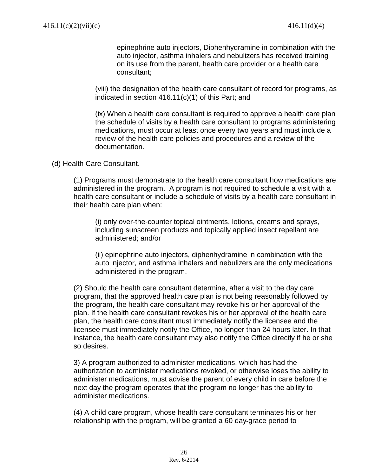epinephrine auto injectors, Diphenhydramine in combination with the auto injector, asthma inhalers and nebulizers has received training on its use from the parent, health care provider or a health care consultant;

(viii) the designation of the health care consultant of record for programs, as indicated in section 416.11(c)(1) of this Part; and

(ix) When a health care consultant is required to approve a health care plan the schedule of visits by a health care consultant to programs administering medications, must occur at least once every two years and must include a review of the health care policies and procedures and a review of the documentation.

### (d) Health Care Consultant.

(1) Programs must demonstrate to the health care consultant how medications are administered in the program. A program is not required to schedule a visit with a health care consultant or include a schedule of visits by a health care consultant in their health care plan when:

(i) only over-the-counter topical ointments, lotions, creams and sprays, including sunscreen products and topically applied insect repellant are administered; and/or

(ii) epinephrine auto injectors, diphenhydramine in combination with the auto injector, and asthma inhalers and nebulizers are the only medications administered in the program.

(2) Should the health care consultant determine, after a visit to the day care program, that the approved health care plan is not being reasonably followed by the program, the health care consultant may revoke his or her approval of the plan. If the health care consultant revokes his or her approval of the health care plan, the health care consultant must immediately notify the licensee and the licensee must immediately notify the Office, no longer than 24 hours later. In that instance, the health care consultant may also notify the Office directly if he or she so desires.

3) A program authorized to administer medications, which has had the authorization to administer medications revoked, or otherwise loses the ability to administer medications, must advise the parent of every child in care before the next day the program operates that the program no longer has the ability to administer medications.

(4) A child care program, whose health care consultant terminates his or her relationship with the program, will be granted a 60 day grace period to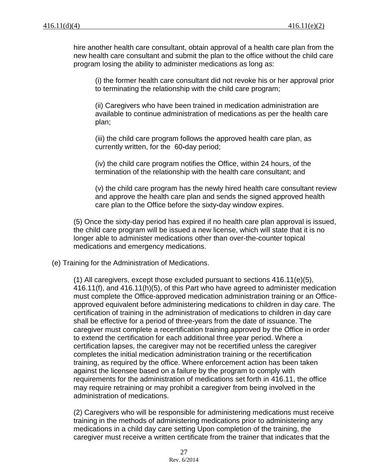hire another health care consultant, obtain approval of a health care plan from the new health care consultant and submit the plan to the office without the child care program losing the ability to administer medications as long as:

(i) the former health care consultant did not revoke his or her approval prior to terminating the relationship with the child care program;

(ii) Caregivers who have been trained in medication administration are available to continue administration of medications as per the health care plan;

(iii) the child care program follows the approved health care plan, as currently written, for the 60**-**day period;

(iv) the child care program notifies the Office, within 24 hours, of the termination of the relationship with the health care consultant; and

(v) the child care program has the newly hired health care consultant review and approve the health care plan and sends the signed approved health care plan to the Office before the sixty**-**day window expires.

(5) Once the sixty-day period has expired if no health care plan approval is issued, the child care program will be issued a new license, which will state that it is no longer able to administer medications other than over-the-counter topical medications and emergency medications.

(e) Training for the Administration of Medications.

(1) All caregivers, except those excluded pursuant to sections 416.11(e)(5), 416.11(f), and 416.11(h)(5), of this Part who have agreed to administer medication must complete the Office-approved medication administration training or an Officeapproved equivalent before administering medications to children in day care. The certification of training in the administration of medications to children in day care shall be effective for a period of three-years from the date of issuance. The caregiver must complete a recertification training approved by the Office in order to extend the certification for each additional three year period. Where a certification lapses, the caregiver may not be recertified unless the caregiver completes the initial medication administration training or the recertification training, as required by the office. Where enforcement action has been taken against the licensee based on a failure by the program to comply with requirements for the administration of medications set forth in 416.11, the office may require retraining or may prohibit a caregiver from being involved in the administration of medications.

(2) Caregivers who will be responsible for administering medications must receive training in the methods of administering medications prior to administering any medications in a child day care setting Upon completion of the training, the caregiver must receive a written certificate from the trainer that indicates that the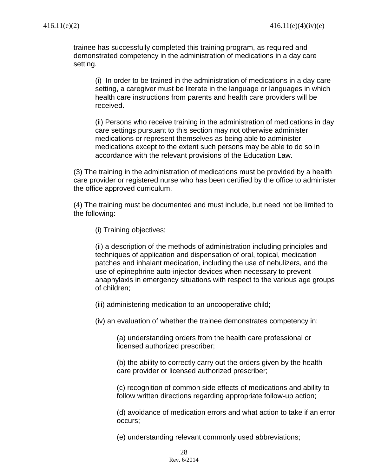trainee has successfully completed this training program, as required and demonstrated competency in the administration of medications in a day care setting.

(i) In order to be trained in the administration of medications in a day care setting, a caregiver must be literate in the language or languages in which health care instructions from parents and health care providers will be received.

(ii) Persons who receive training in the administration of medications in day care settings pursuant to this section may not otherwise administer medications or represent themselves as being able to administer medications except to the extent such persons may be able to do so in accordance with the relevant provisions of the Education Law.

(3) The training in the administration of medications must be provided by a health care provider or registered nurse who has been certified by the office to administer the office approved curriculum.

(4) The training must be documented and must include, but need not be limited to the following:

(i) Training objectives;

(ii) a description of the methods of administration including principles and techniques of application and dispensation of oral, topical, medication patches and inhalant medication, including the use of nebulizers, and the use of epinephrine auto-injector devices when necessary to prevent anaphylaxis in emergency situations with respect to the various age groups of children;

(iii) administering medication to an uncooperative child;

(iv) an evaluation of whether the trainee demonstrates competency in:

(a) understanding orders from the health care professional or licensed authorized prescriber;

(b) the ability to correctly carry out the orders given by the health care provider or licensed authorized prescriber;

(c) recognition of common side effects of medications and ability to follow written directions regarding appropriate follow-up action;

(d) avoidance of medication errors and what action to take if an error occurs;

(e) understanding relevant commonly used abbreviations;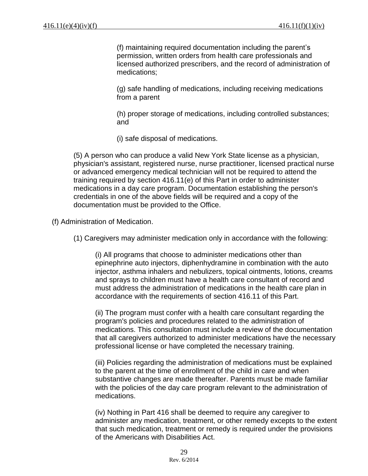(f) maintaining required documentation including the parent's permission, written orders from health care professionals and licensed authorized prescribers, and the record of administration of medications;

(g) safe handling of medications, including receiving medications from a parent

(h) proper storage of medications, including controlled substances; and

(i) safe disposal of medications.

(5) A person who can produce a valid New York State license as a physician, physician's assistant, registered nurse, nurse practitioner, licensed practical nurse or advanced emergency medical technician will not be required to attend the training required by section 416.11(e) of this Part in order to administer medications in a day care program. Documentation establishing the person's credentials in one of the above fields will be required and a copy of the documentation must be provided to the Office.

(f) Administration of Medication.

(1) Caregivers may administer medication only in accordance with the following:

(i) All programs that choose to administer medications other than epinephrine auto injectors, diphenhydramine in combination with the auto injector, asthma inhalers and nebulizers, topical ointments, lotions, creams and sprays to children must have a health care consultant of record and must address the administration of medications in the health care plan in accordance with the requirements of section 416.11 of this Part.

(ii) The program must confer with a health care consultant regarding the program's policies and procedures related to the administration of medications. This consultation must include a review of the documentation that all caregivers authorized to administer medications have the necessary professional license or have completed the necessary training.

(iii) Policies regarding the administration of medications must be explained to the parent at the time of enrollment of the child in care and when substantive changes are made thereafter. Parents must be made familiar with the policies of the day care program relevant to the administration of medications.

(iv) Nothing in Part 416 shall be deemed to require any caregiver to administer any medication, treatment, or other remedy excepts to the extent that such medication, treatment or remedy is required under the provisions of the Americans with Disabilities Act.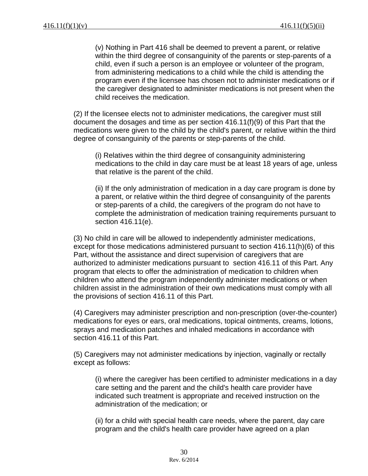(v) Nothing in Part 416 shall be deemed to prevent a parent, or relative within the third degree of consanguinity of the parents or step-parents of a child, even if such a person is an employee or volunteer of the program, from administering medications to a child while the child is attending the program even if the licensee has chosen not to administer medications or if the caregiver designated to administer medications is not present when the child receives the medication.

(2) If the licensee elects not to administer medications, the caregiver must still document the dosages and time as per section 416.11(f)(9) of this Part that the medications were given to the child by the child's parent, or relative within the third degree of consanguinity of the parents or step-parents of the child.

(i) Relatives within the third degree of consanguinity administering medications to the child in day care must be at least 18 years of age, unless that relative is the parent of the child.

(ii) If the only administration of medication in a day care program is done by a parent, or relative within the third degree of consanguinity of the parents or step-parents of a child, the caregivers of the program do not have to complete the administration of medication training requirements pursuant to section 416.11(e).

(3) No child in care will be allowed to independently administer medications, except for those medications administered pursuant to section 416.11(h)(6) of this Part, without the assistance and direct supervision of caregivers that are authorized to administer medications pursuant to section 416.11 of this Part. Any program that elects to offer the administration of medication to children when children who attend the program independently administer medications or when children assist in the administration of their own medications must comply with all the provisions of section 416.11 of this Part.

(4) Caregivers may administer prescription and non-prescription (over-the-counter) medications for eyes or ears, oral medications, topical ointments, creams, lotions, sprays and medication patches and inhaled medications in accordance with section 416.11 of this Part.

(5) Caregivers may not administer medications by injection, vaginally or rectally except as follows:

(i) where the caregiver has been certified to administer medications in a day care setting and the parent and the child's health care provider have indicated such treatment is appropriate and received instruction on the administration of the medication; or

(ii) for a child with special health care needs, where the parent, day care program and the child's health care provider have agreed on a plan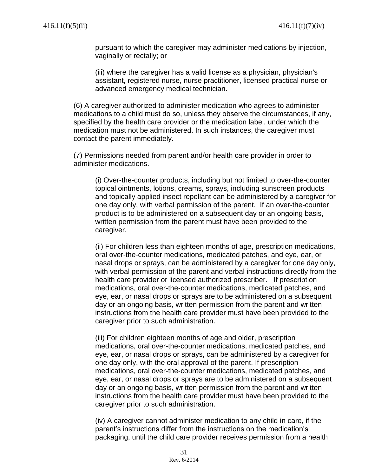pursuant to which the caregiver may administer medications by injection, vaginally or rectally; or

(iii) where the caregiver has a valid license as a physician, physician's assistant, registered nurse, nurse practitioner, licensed practical nurse or advanced emergency medical technician.

(6) A caregiver authorized to administer medication who agrees to administer medications to a child must do so, unless they observe the circumstances, if any, specified by the health care provider or the medication label, under which the medication must not be administered. In such instances, the caregiver must contact the parent immediately.

(7) Permissions needed from parent and/or health care provider in order to administer medications.

(i) Over-the-counter products, including but not limited to over-the-counter topical ointments, lotions, creams, sprays, including sunscreen products and topically applied insect repellant can be administered by a caregiver for one day only, with verbal permission of the parent. If an over-the-counter product is to be administered on a subsequent day or an ongoing basis, written permission from the parent must have been provided to the caregiver.

(ii) For children less than eighteen months of age, prescription medications, oral over-the-counter medications, medicated patches, and eye, ear, or nasal drops or sprays, can be administered by a caregiver for one day only, with verbal permission of the parent and verbal instructions directly from the health care provider or licensed authorized prescriber. If prescription medications, oral over-the-counter medications, medicated patches, and eye, ear, or nasal drops or sprays are to be administered on a subsequent day or an ongoing basis, written permission from the parent and written instructions from the health care provider must have been provided to the caregiver prior to such administration.

(iii) For children eighteen months of age and older, prescription medications, oral over-the-counter medications, medicated patches, and eye, ear, or nasal drops or sprays, can be administered by a caregiver for one day only, with the oral approval of the parent. If prescription medications, oral over-the-counter medications, medicated patches, and eye, ear, or nasal drops or sprays are to be administered on a subsequent day or an ongoing basis, written permission from the parent and written instructions from the health care provider must have been provided to the caregiver prior to such administration.

(iv) A caregiver cannot administer medication to any child in care, if the parent's instructions differ from the instructions on the medication's packaging, until the child care provider receives permission from a health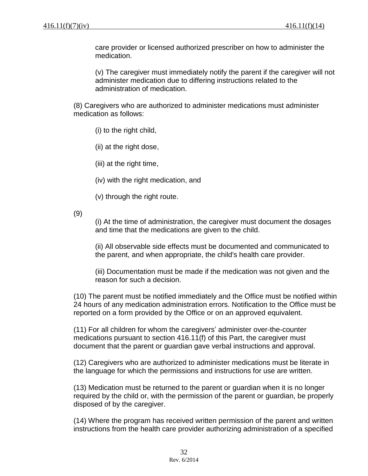care provider or licensed authorized prescriber on how to administer the medication.

(v) The caregiver must immediately notify the parent if the caregiver will not administer medication due to differing instructions related to the administration of medication.

(8) Caregivers who are authorized to administer medications must administer medication as follows:

(i) to the right child,

(ii) at the right dose,

(iii) at the right time,

(iv) with the right medication, and

(v) through the right route.

(9)

(i) At the time of administration, the caregiver must document the dosages and time that the medications are given to the child.

(ii) All observable side effects must be documented and communicated to the parent, and when appropriate, the child's health care provider.

(iii) Documentation must be made if the medication was not given and the reason for such a decision.

(10) The parent must be notified immediately and the Office must be notified within 24 hours of any medication administration errors. Notification to the Office must be reported on a form provided by the Office or on an approved equivalent.

(11) For all children for whom the caregivers' administer over-the-counter medications pursuant to section 416.11(f) of this Part, the caregiver must document that the parent or guardian gave verbal instructions and approval.

(12) Caregivers who are authorized to administer medications must be literate in the language for which the permissions and instructions for use are written.

(13) Medication must be returned to the parent or guardian when it is no longer required by the child or, with the permission of the parent or guardian, be properly disposed of by the caregiver.

(14) Where the program has received written permission of the parent and written instructions from the health care provider authorizing administration of a specified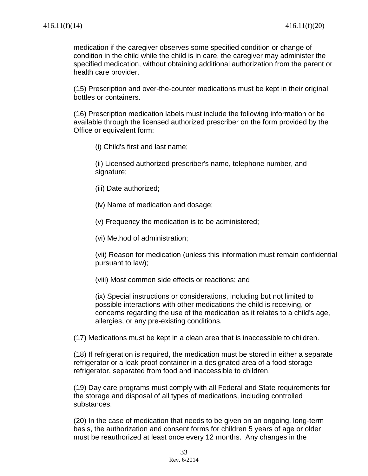medication if the caregiver observes some specified condition or change of condition in the child while the child is in care, the caregiver may administer the specified medication, without obtaining additional authorization from the parent or health care provider.

(15) Prescription and over-the-counter medications must be kept in their original bottles or containers.

(16) Prescription medication labels must include the following information or be available through the licensed authorized prescriber on the form provided by the Office or equivalent form:

(i) Child's first and last name;

(ii) Licensed authorized prescriber's name, telephone number, and signature;

- (iii) Date authorized;
- (iv) Name of medication and dosage;

(v) Frequency the medication is to be administered;

(vi) Method of administration;

(vii) Reason for medication (unless this information must remain confidential pursuant to law);

(viii) Most common side effects or reactions; and

(ix) Special instructions or considerations, including but not limited to possible interactions with other medications the child is receiving, or concerns regarding the use of the medication as it relates to a child's age, allergies, or any pre-existing conditions.

(17) Medications must be kept in a clean area that is inaccessible to children.

(18) If refrigeration is required, the medication must be stored in either a separate refrigerator or a leak-proof container in a designated area of a food storage refrigerator, separated from food and inaccessible to children.

(19) Day care programs must comply with all Federal and State requirements for the storage and disposal of all types of medications, including controlled substances.

(20) In the case of medication that needs to be given on an ongoing, long-term basis, the authorization and consent forms for children 5 years of age or older must be reauthorized at least once every 12 months. Any changes in the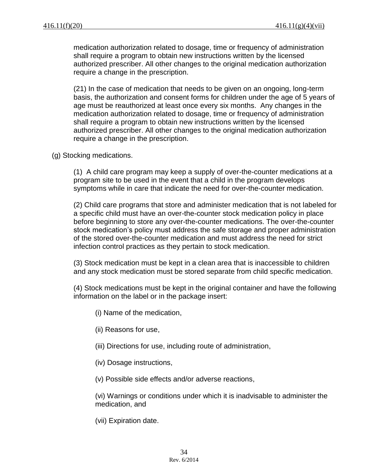medication authorization related to dosage, time or frequency of administration shall require a program to obtain new instructions written by the licensed authorized prescriber. All other changes to the original medication authorization require a change in the prescription.

(21) In the case of medication that needs to be given on an ongoing, long-term basis, the authorization and consent forms for children under the age of 5 years of age must be reauthorized at least once every six months. Any changes in the medication authorization related to dosage, time or frequency of administration shall require a program to obtain new instructions written by the licensed authorized prescriber. All other changes to the original medication authorization require a change in the prescription.

(g) Stocking medications.

(1) A child care program may keep a supply of over-the-counter medications at a program site to be used in the event that a child in the program develops symptoms while in care that indicate the need for over-the-counter medication.

(2) Child care programs that store and administer medication that is not labeled for a specific child must have an over-the-counter stock medication policy in place before beginning to store any over-the-counter medications. The over-the-counter stock medication's policy must address the safe storage and proper administration of the stored over-the-counter medication and must address the need for strict infection control practices as they pertain to stock medication.

(3) Stock medication must be kept in a clean area that is inaccessible to children and any stock medication must be stored separate from child specific medication.

(4) Stock medications must be kept in the original container and have the following information on the label or in the package insert:

- (i) Name of the medication,
- (ii) Reasons for use,
- (iii) Directions for use, including route of administration,
- (iv) Dosage instructions,
- (v) Possible side effects and/or adverse reactions,

(vi) Warnings or conditions under which it is inadvisable to administer the medication, and

(vii) Expiration date.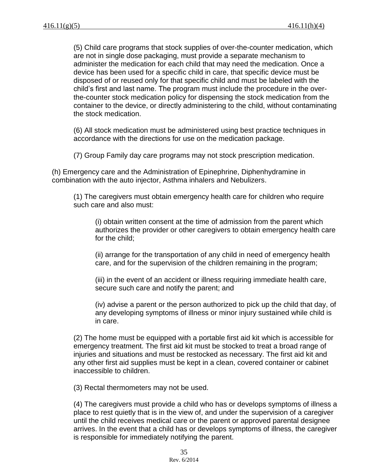(5) Child care programs that stock supplies of over-the-counter medication, which are not in single dose packaging, must provide a separate mechanism to administer the medication for each child that may need the medication. Once a device has been used for a specific child in care, that specific device must be disposed of or reused only for that specific child and must be labeled with the child's first and last name. The program must include the procedure in the overthe-counter stock medication policy for dispensing the stock medication from the container to the device, or directly administering to the child, without contaminating the stock medication.

(6) All stock medication must be administered using best practice techniques in accordance with the directions for use on the medication package.

(7) Group Family day care programs may not stock prescription medication.

(h) Emergency care and the Administration of Epinephrine, Diphenhydramine in combination with the auto injector, Asthma inhalers and Nebulizers.

(1) The caregivers must obtain emergency health care for children who require such care and also must:

(i) obtain written consent at the time of admission from the parent which authorizes the provider or other caregivers to obtain emergency health care for the child;

(ii) arrange for the transportation of any child in need of emergency health care, and for the supervision of the children remaining in the program;

(iii) in the event of an accident or illness requiring immediate health care, secure such care and notify the parent; and

(iv) advise a parent or the person authorized to pick up the child that day, of any developing symptoms of illness or minor injury sustained while child is in care.

(2) The home must be equipped with a portable first aid kit which is accessible for emergency treatment. The first aid kit must be stocked to treat a broad range of injuries and situations and must be restocked as necessary. The first aid kit and any other first aid supplies must be kept in a clean, covered container or cabinet inaccessible to children.

(3) Rectal thermometers may not be used.

(4) The caregivers must provide a child who has or develops symptoms of illness a place to rest quietly that is in the view of, and under the supervision of a caregiver until the child receives medical care or the parent or approved parental designee arrives. In the event that a child has or develops symptoms of illness, the caregiver is responsible for immediately notifying the parent.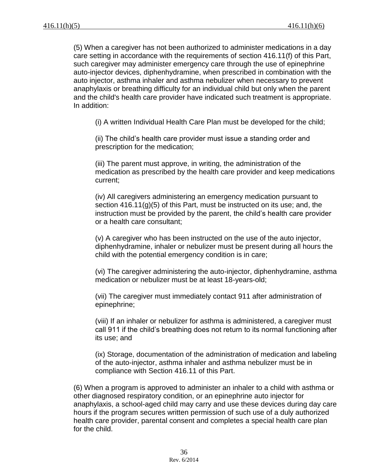(5) When a caregiver has not been authorized to administer medications in a day care setting in accordance with the requirements of section 416.11(f) of this Part, such caregiver may administer emergency care through the use of epinephrine auto-injector devices, diphenhydramine, when prescribed in combination with the auto injector, asthma inhaler and asthma nebulizer when necessary to prevent anaphylaxis or breathing difficulty for an individual child but only when the parent and the child's health care provider have indicated such treatment is appropriate. In addition:

(i) A written Individual Health Care Plan must be developed for the child;

(ii) The child's health care provider must issue a standing order and prescription for the medication;

(iii) The parent must approve, in writing, the administration of the medication as prescribed by the health care provider and keep medications current;

(iv) All caregivers administering an emergency medication pursuant to section 416.11(g)(5) of this Part, must be instructed on its use; and, the instruction must be provided by the parent, the child's health care provider or a health care consultant;

(v) A caregiver who has been instructed on the use of the auto injector, diphenhydramine, inhaler or nebulizer must be present during all hours the child with the potential emergency condition is in care;

(vi) The caregiver administering the auto-injector, diphenhydramine, asthma medication or nebulizer must be at least 18-years-old;

(vii) The caregiver must immediately contact 911 after administration of epinephrine;

(viii) If an inhaler or nebulizer for asthma is administered, a caregiver must call 911 if the child's breathing does not return to its normal functioning after its use; and

(ix) Storage, documentation of the administration of medication and labeling of the auto-injector, asthma inhaler and asthma nebulizer must be in compliance with Section 416.11 of this Part.

(6) When a program is approved to administer an inhaler to a child with asthma or other diagnosed respiratory condition, or an epinephrine auto injector for anaphylaxis, a school-aged child may carry and use these devices during day care hours if the program secures written permission of such use of a duly authorized health care provider, parental consent and completes a special health care plan for the child.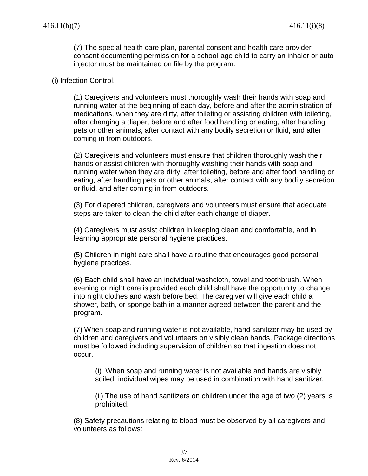(7) The special health care plan, parental consent and health care provider consent documenting permission for a school-age child to carry an inhaler or auto injector must be maintained on file by the program.

#### (i) Infection Control.

(1) Caregivers and volunteers must thoroughly wash their hands with soap and running water at the beginning of each day, before and after the administration of medications, when they are dirty, after toileting or assisting children with toileting, after changing a diaper, before and after food handling or eating, after handling pets or other animals, after contact with any bodily secretion or fluid, and after coming in from outdoors.

(2) Caregivers and volunteers must ensure that children thoroughly wash their hands or assist children with thoroughly washing their hands with soap and running water when they are dirty, after toileting, before and after food handling or eating, after handling pets or other animals, after contact with any bodily secretion or fluid, and after coming in from outdoors.

(3) For diapered children, caregivers and volunteers must ensure that adequate steps are taken to clean the child after each change of diaper.

(4) Caregivers must assist children in keeping clean and comfortable, and in learning appropriate personal hygiene practices.

(5) Children in night care shall have a routine that encourages good personal hygiene practices.

(6) Each child shall have an individual washcloth, towel and toothbrush. When evening or night care is provided each child shall have the opportunity to change into night clothes and wash before bed. The caregiver will give each child a shower, bath, or sponge bath in a manner agreed between the parent and the program.

(7) When soap and running water is not available, hand sanitizer may be used by children and caregivers and volunteers on visibly clean hands. Package directions must be followed including supervision of children so that ingestion does not occur.

(i) When soap and running water is not available and hands are visibly soiled, individual wipes may be used in combination with hand sanitizer.

(ii) The use of hand sanitizers on children under the age of two (2) years is prohibited.

(8) Safety precautions relating to blood must be observed by all caregivers and volunteers as follows: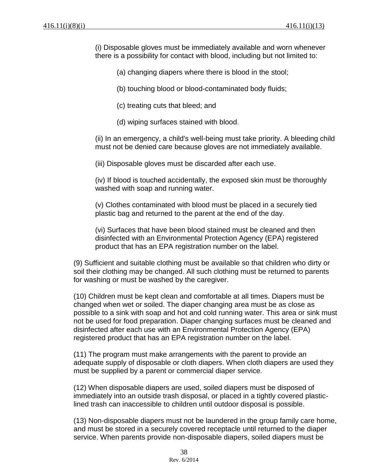(i) Disposable gloves must be immediately available and worn whenever there is a possibility for contact with blood, including but not limited to:

(a) changing diapers where there is blood in the stool;

(b) touching blood or blood-contaminated body fluids;

- (c) treating cuts that bleed; and
- (d) wiping surfaces stained with blood.

(ii) In an emergency, a child's well-being must take priority. A bleeding child must not be denied care because gloves are not immediately available.

(iii) Disposable gloves must be discarded after each use.

(iv) If blood is touched accidentally, the exposed skin must be thoroughly washed with soap and running water.

(v) Clothes contaminated with blood must be placed in a securely tied plastic bag and returned to the parent at the end of the day.

(vi) Surfaces that have been blood stained must be cleaned and then disinfected with an Environmental Protection Agency (EPA) registered product that has an EPA registration number on the label.

(9) Sufficient and suitable clothing must be available so that children who dirty or soil their clothing may be changed. All such clothing must be returned to parents for washing or must be washed by the caregiver.

(10) Children must be kept clean and comfortable at all times. Diapers must be changed when wet or soiled. The diaper changing area must be as close as possible to a sink with soap and hot and cold running water. This area or sink must not be used for food preparation. Diaper changing surfaces must be cleaned and disinfected after each use with an Environmental Protection Agency (EPA) registered product that has an EPA registration number on the label.

(11) The program must make arrangements with the parent to provide an adequate supply of disposable or cloth diapers. When cloth diapers are used they must be supplied by a parent or commercial diaper service.

(12) When disposable diapers are used, soiled diapers must be disposed of immediately into an outside trash disposal, or placed in a tightly covered plasticlined trash can inaccessible to children until outdoor disposal is possible.

(13) Non-disposable diapers must not be laundered in the group family care home, and must be stored in a securely covered receptacle until returned to the diaper service. When parents provide non-disposable diapers, soiled diapers must be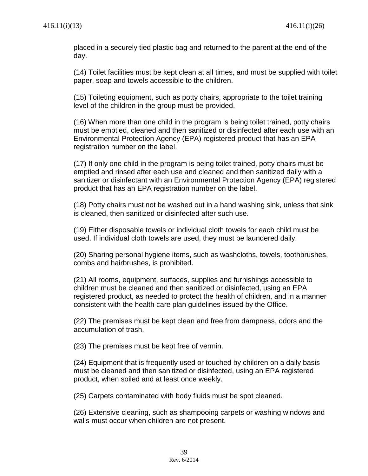placed in a securely tied plastic bag and returned to the parent at the end of the day.

(14) Toilet facilities must be kept clean at all times, and must be supplied with toilet paper, soap and towels accessible to the children.

(15) Toileting equipment, such as potty chairs, appropriate to the toilet training level of the children in the group must be provided.

(16) When more than one child in the program is being toilet trained, potty chairs must be emptied, cleaned and then sanitized or disinfected after each use with an Environmental Protection Agency (EPA) registered product that has an EPA registration number on the label.

(17) If only one child in the program is being toilet trained, potty chairs must be emptied and rinsed after each use and cleaned and then sanitized daily with a sanitizer or disinfectant with an Environmental Protection Agency (EPA) registered product that has an EPA registration number on the label.

(18) Potty chairs must not be washed out in a hand washing sink, unless that sink is cleaned, then sanitized or disinfected after such use.

(19) Either disposable towels or individual cloth towels for each child must be used. If individual cloth towels are used, they must be laundered daily.

(20) Sharing personal hygiene items, such as washcloths, towels, toothbrushes, combs and hairbrushes, is prohibited.

(21) All rooms, equipment, surfaces, supplies and furnishings accessible to children must be cleaned and then sanitized or disinfected, using an EPA registered product, as needed to protect the health of children, and in a manner consistent with the health care plan guidelines issued by the Office.

(22) The premises must be kept clean and free from dampness, odors and the accumulation of trash.

(23) The premises must be kept free of vermin.

(24) Equipment that is frequently used or touched by children on a daily basis must be cleaned and then sanitized or disinfected, using an EPA registered product, when soiled and at least once weekly.

(25) Carpets contaminated with body fluids must be spot cleaned.

(26) Extensive cleaning, such as shampooing carpets or washing windows and walls must occur when children are not present.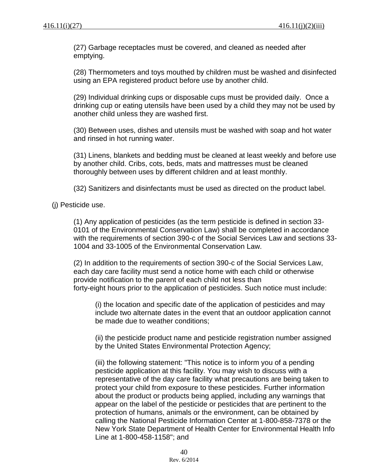(27) Garbage receptacles must be covered, and cleaned as needed after emptying.

(28) Thermometers and toys mouthed by children must be washed and disinfected using an EPA registered product before use by another child.

(29) Individual drinking cups or disposable cups must be provided daily. Once a drinking cup or eating utensils have been used by a child they may not be used by another child unless they are washed first.

(30) Between uses, dishes and utensils must be washed with soap and hot water and rinsed in hot running water.

(31) Linens, blankets and bedding must be cleaned at least weekly and before use by another child. Cribs, cots, beds, mats and mattresses must be cleaned thoroughly between uses by different children and at least monthly.

(32) Sanitizers and disinfectants must be used as directed on the product label.

(j) Pesticide use.

(1) Any application of pesticides (as the term pesticide is defined in section 33- 0101 of the Environmental Conservation Law) shall be completed in accordance with the requirements of section 390-c of the Social Services Law and sections 33- 1004 and 33-1005 of the Environmental Conservation Law.

(2) In addition to the requirements of section 390-c of the Social Services Law, each day care facility must send a notice home with each child or otherwise provide notification to the parent of each child not less than forty-eight hours prior to the application of pesticides. Such notice must include:

(i) the location and specific date of the application of pesticides and may include two alternate dates in the event that an outdoor application cannot be made due to weather conditions;

(ii) the pesticide product name and pesticide registration number assigned by the United States Environmental Protection Agency;

(iii) the following statement: "This notice is to inform you of a pending pesticide application at this facility. You may wish to discuss with a representative of the day care facility what precautions are being taken to protect your child from exposure to these pesticides. Further information about the product or products being applied, including any warnings that appear on the label of the pesticide or pesticides that are pertinent to the protection of humans, animals or the environment, can be obtained by calling the National Pesticide Information Center at 1-800-858-7378 or the New York State Department of Health Center for Environmental Health Info Line at 1-800-458-1158"; and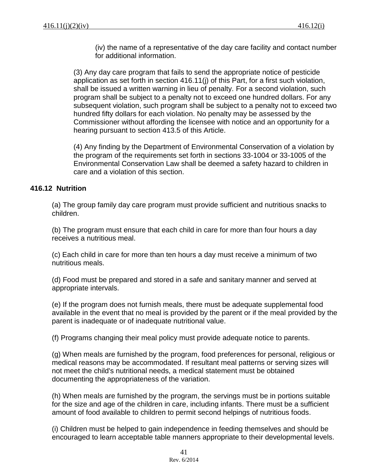(iv) the name of a representative of the day care facility and contact number for additional information.

(3) Any day care program that fails to send the appropriate notice of pesticide application as set forth in section 416.11(j) of this Part, for a first such violation, shall be issued a written warning in lieu of penalty. For a second violation, such program shall be subject to a penalty not to exceed one hundred dollars. For any subsequent violation, such program shall be subject to a penalty not to exceed two hundred fifty dollars for each violation. No penalty may be assessed by the Commissioner without affording the licensee with notice and an opportunity for a hearing pursuant to section 413.5 of this Article.

(4) Any finding by the Department of Environmental Conservation of a violation by the program of the requirements set forth in sections 33-1004 or 33-1005 of the Environmental Conservation Law shall be deemed a safety hazard to children in care and a violation of this section.

# **416.12 Nutrition**

(a) The group family day care program must provide sufficient and nutritious snacks to children.

(b) The program must ensure that each child in care for more than four hours a day receives a nutritious meal.

(c) Each child in care for more than ten hours a day must receive a minimum of two nutritious meals.

(d) Food must be prepared and stored in a safe and sanitary manner and served at appropriate intervals.

(e) If the program does not furnish meals, there must be adequate supplemental food available in the event that no meal is provided by the parent or if the meal provided by the parent is inadequate or of inadequate nutritional value.

(f) Programs changing their meal policy must provide adequate notice to parents.

(g) When meals are furnished by the program, food preferences for personal, religious or medical reasons may be accommodated. If resultant meal patterns or serving sizes will not meet the child's nutritional needs, a medical statement must be obtained documenting the appropriateness of the variation.

(h) When meals are furnished by the program, the servings must be in portions suitable for the size and age of the children in care, including infants. There must be a sufficient amount of food available to children to permit second helpings of nutritious foods.

(i) Children must be helped to gain independence in feeding themselves and should be encouraged to learn acceptable table manners appropriate to their developmental levels.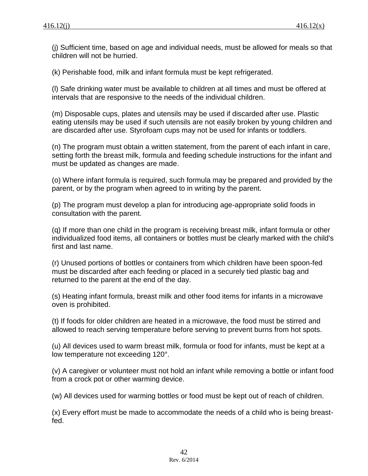(j) Sufficient time, based on age and individual needs, must be allowed for meals so that children will not be hurried.

(k) Perishable food, milk and infant formula must be kept refrigerated.

(l) Safe drinking water must be available to children at all times and must be offered at intervals that are responsive to the needs of the individual children.

(m) Disposable cups, plates and utensils may be used if discarded after use. Plastic eating utensils may be used if such utensils are not easily broken by young children and are discarded after use. Styrofoam cups may not be used for infants or toddlers.

(n) The program must obtain a written statement, from the parent of each infant in care, setting forth the breast milk, formula and feeding schedule instructions for the infant and must be updated as changes are made.

(o) Where infant formula is required, such formula may be prepared and provided by the parent, or by the program when agreed to in writing by the parent.

(p) The program must develop a plan for introducing age-appropriate solid foods in consultation with the parent.

(q) If more than one child in the program is receiving breast milk, infant formula or other individualized food items, all containers or bottles must be clearly marked with the child's first and last name.

(r) Unused portions of bottles or containers from which children have been spoon-fed must be discarded after each feeding or placed in a securely tied plastic bag and returned to the parent at the end of the day.

(s) Heating infant formula, breast milk and other food items for infants in a microwave oven is prohibited.

(t) If foods for older children are heated in a microwave, the food must be stirred and allowed to reach serving temperature before serving to prevent burns from hot spots.

(u) All devices used to warm breast milk, formula or food for infants, must be kept at a low temperature not exceeding 120°.

(v) A caregiver or volunteer must not hold an infant while removing a bottle or infant food from a crock pot or other warming device.

(w) All devices used for warming bottles or food must be kept out of reach of children.

(x) Every effort must be made to accommodate the needs of a child who is being breastfed.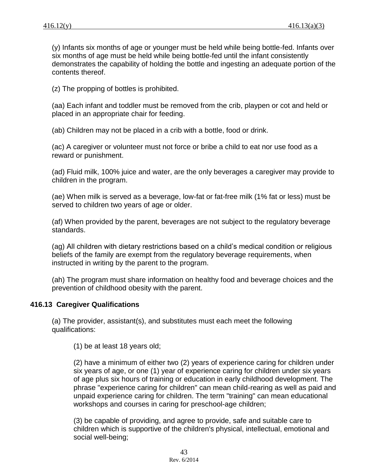(y) Infants six months of age or younger must be held while being bottle-fed. Infants over six months of age must be held while being bottle-fed until the infant consistently demonstrates the capability of holding the bottle and ingesting an adequate portion of the contents thereof.

(z) The propping of bottles is prohibited.

(aa) Each infant and toddler must be removed from the crib, playpen or cot and held or placed in an appropriate chair for feeding.

(ab) Children may not be placed in a crib with a bottle, food or drink.

(ac) A caregiver or volunteer must not force or bribe a child to eat nor use food as a reward or punishment.

(ad) Fluid milk, 100% juice and water, are the only beverages a caregiver may provide to children in the program.

(ae) When milk is served as a beverage, low-fat or fat-free milk (1% fat or less) must be served to children two years of age or older.

(af) When provided by the parent, beverages are not subject to the regulatory beverage standards.

(ag) All children with dietary restrictions based on a child's medical condition or religious beliefs of the family are exempt from the regulatory beverage requirements, when instructed in writing by the parent to the program.

(ah) The program must share information on healthy food and beverage choices and the prevention of childhood obesity with the parent.

### **416.13 Caregiver Qualifications**

(a) The provider, assistant(s), and substitutes must each meet the following qualifications:

(1) be at least 18 years old;

(2) have a minimum of either two (2) years of experience caring for children under six years of age, or one (1) year of experience caring for children under six years of age plus six hours of training or education in early childhood development. The phrase "experience caring for children" can mean child-rearing as well as paid and unpaid experience caring for children. The term "training" can mean educational workshops and courses in caring for preschool-age children;

(3) be capable of providing, and agree to provide, safe and suitable care to children which is supportive of the children's physical, intellectual, emotional and social well-being;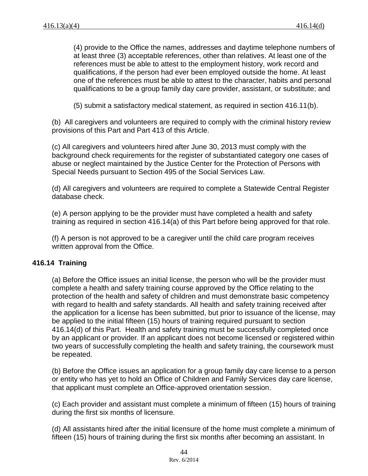(4) provide to the Office the names, addresses and daytime telephone numbers of at least three (3) acceptable references, other than relatives. At least one of the references must be able to attest to the employment history, work record and qualifications, if the person had ever been employed outside the home. At least one of the references must be able to attest to the character, habits and personal qualifications to be a group family day care provider, assistant, or substitute; and

(5) submit a satisfactory medical statement, as required in section 416.11(b).

(b) All caregivers and volunteers are required to comply with the criminal history review provisions of this Part and Part 413 of this Article.

(c) All caregivers and volunteers hired after June 30, 2013 must comply with the background check requirements for the register of substantiated category one cases of abuse or neglect maintained by the Justice Center for the Protection of Persons with Special Needs pursuant to Section 495 of the Social Services Law.

(d) All caregivers and volunteers are required to complete a Statewide Central Register database check.

(e) A person applying to be the provider must have completed a health and safety training as required in section 416.14(a) of this Part before being approved for that role.

(f) A person is not approved to be a caregiver until the child care program receives written approval from the Office.

### **416.14 Training**

(a) Before the Office issues an initial license, the person who will be the provider must complete a health and safety training course approved by the Office relating to the protection of the health and safety of children and must demonstrate basic competency with regard to health and safety standards. All health and safety training received after the application for a license has been submitted, but prior to issuance of the license, may be applied to the initial fifteen (15) hours of training required pursuant to section 416.14(d) of this Part. Health and safety training must be successfully completed once by an applicant or provider. If an applicant does not become licensed or registered within two years of successfully completing the health and safety training, the coursework must be repeated.

(b) Before the Office issues an application for a group family day care license to a person or entity who has yet to hold an Office of Children and Family Services day care license, that applicant must complete an Office-approved orientation session.

(c) Each provider and assistant must complete a minimum of fifteen (15) hours of training during the first six months of licensure.

(d) All assistants hired after the initial licensure of the home must complete a minimum of fifteen (15) hours of training during the first six months after becoming an assistant. In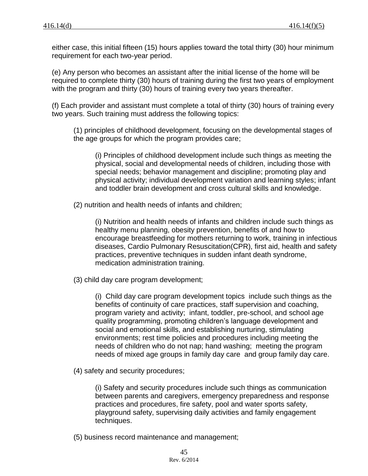either case, this initial fifteen (15) hours applies toward the total thirty (30) hour minimum requirement for each two-year period.

(e) Any person who becomes an assistant after the initial license of the home will be required to complete thirty (30) hours of training during the first two years of employment with the program and thirty (30) hours of training every two years thereafter.

(f) Each provider and assistant must complete a total of thirty (30) hours of training every two years. Such training must address the following topics:

(1) principles of childhood development, focusing on the developmental stages of the age groups for which the program provides care;

(i) Principles of childhood development include such things as meeting the physical, social and developmental needs of children, including those with special needs; behavior management and discipline; promoting play and physical activity; individual development variation and learning styles; infant and toddler brain development and cross cultural skills and knowledge.

(2) nutrition and health needs of infants and children;

(i) Nutrition and health needs of infants and children include such things as healthy menu planning, obesity prevention, benefits of and how to encourage breastfeeding for mothers returning to work, training in infectious diseases, Cardio Pulmonary Resuscitation(CPR), first aid, health and safety practices, preventive techniques in sudden infant death syndrome, medication administration training.

(3) child day care program development;

(i) Child day care program development topics include such things as the benefits of continuity of care practices, staff supervision and coaching, program variety and activity; infant, toddler, pre-school, and school age quality programming, promoting children's language development and social and emotional skills, and establishing nurturing, stimulating environments; rest time policies and procedures including meeting the needs of children who do not nap; hand washing; meeting the program needs of mixed age groups in family day care and group family day care.

(4) safety and security procedures;

(i) Safety and security procedures include such things as communication between parents and caregivers, emergency preparedness and response practices and procedures, fire safety, pool and water sports safety, playground safety, supervising daily activities and family engagement techniques.

(5) business record maintenance and management;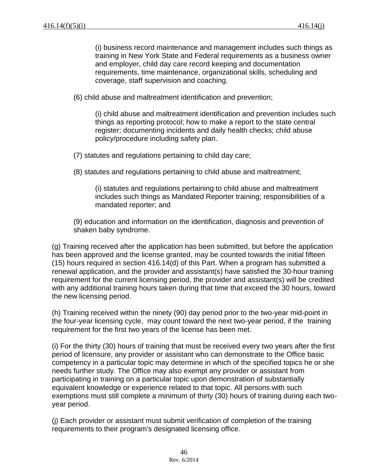(i) business record maintenance and management includes such things as training in New York State and Federal requirements as a business owner and employer, child day care record keeping and documentation requirements, time maintenance, organizational skills, scheduling and coverage, staff supervision and coaching.

(6) child abuse and maltreatment identification and prevention;

(i) child abuse and maltreatment identification and prevention includes such things as reporting protocol; how to make a report to the state central register; documenting incidents and daily health checks; child abuse policy/procedure including safety plan.

(7) statutes and regulations pertaining to child day care;

(8) statutes and regulations pertaining to child abuse and maltreatment;

(i) statutes and regulations pertaining to child abuse and maltreatment includes such things as Mandated Reporter training; responsibilities of a mandated reporter; and

(9) education and information on the identification, diagnosis and prevention of shaken baby syndrome.

(g) Training received after the application has been submitted, but before the application has been approved and the license granted, may be counted towards the initial fifteen (15) hours required in section 416.14(d) of this Part. When a program has submitted a renewal application, and the provider and assistant(s) have satisfied the 30-hour training requirement for the current licensing period, the provider and assistant(s) will be credited with any additional training hours taken during that time that exceed the 30 hours, toward the new licensing period.

(h) Training received within the ninety (90) day period prior to the two-year mid-point in the four-year licensing cycle, may count toward the next two-year period, if the training requirement for the first two years of the license has been met.

(i) For the thirty (30) hours of training that must be received every two years after the first period of licensure, any provider or assistant who can demonstrate to the Office basic competency in a particular topic may determine in which of the specified topics he or she needs further study. The Office may also exempt any provider or assistant from participating in training on a particular topic upon demonstration of substantially equivalent knowledge or experience related to that topic. All persons with such exemptions must still complete a minimum of thirty (30) hours of training during each twoyear period.

(j) Each provider or assistant must submit verification of completion of the training requirements to their program's designated licensing office.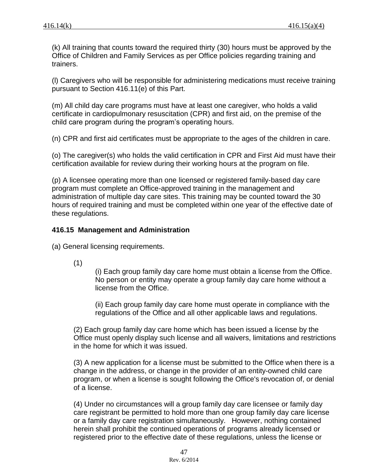(k) All training that counts toward the required thirty (30) hours must be approved by the Office of Children and Family Services as per Office policies regarding training and trainers.

(l) Caregivers who will be responsible for administering medications must receive training pursuant to Section 416.11(e) of this Part.

(m) All child day care programs must have at least one caregiver, who holds a valid certificate in cardiopulmonary resuscitation (CPR) and first aid, on the premise of the child care program during the program's operating hours.

(n) CPR and first aid certificates must be appropriate to the ages of the children in care.

(o) The caregiver(s) who holds the valid certification in CPR and First Aid must have their certification available for review during their working hours at the program on file.

(p) A licensee operating more than one licensed or registered family-based day care program must complete an Office-approved training in the management and administration of multiple day care sites. This training may be counted toward the 30 hours of required training and must be completed within one year of the effective date of these regulations.

#### **416.15 Management and Administration**

(a) General licensing requirements.

(1)

(i) Each group family day care home must obtain a license from the Office. No person or entity may operate a group family day care home without a license from the Office.

(ii) Each group family day care home must operate in compliance with the regulations of the Office and all other applicable laws and regulations.

(2) Each group family day care home which has been issued a license by the Office must openly display such license and all waivers, limitations and restrictions in the home for which it was issued.

(3) A new application for a license must be submitted to the Office when there is a change in the address, or change in the provider of an entity-owned child care program, or when a license is sought following the Office's revocation of, or denial of a license.

(4) Under no circumstances will a group family day care licensee or family day care registrant be permitted to hold more than one group family day care license or a family day care registration simultaneously. However, nothing contained herein shall prohibit the continued operations of programs already licensed or registered prior to the effective date of these regulations, unless the license or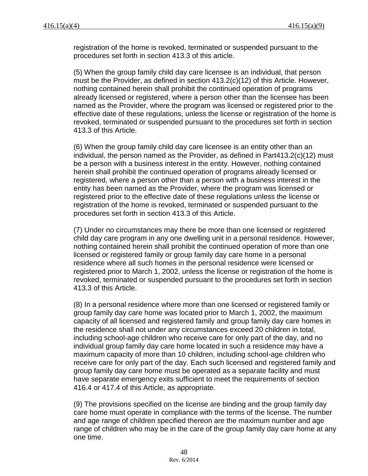registration of the home is revoked, terminated or suspended pursuant to the procedures set forth in section 413.3 of this article.

(5) When the group family child day care licensee is an individual, that person must be the Provider, as defined in section 413.2(c)(12) of this Article. However, nothing contained herein shall prohibit the continued operation of programs already licensed or registered, where a person other than the licensee has been named as the Provider, where the program was licensed or registered prior to the effective date of these regulations, unless the license or registration of the home is revoked, terminated or suspended pursuant to the procedures set forth in section 413.3 of this Article.

(6) When the group family child day care licensee is an entity other than an individual, the person named as the Provider, as defined in Part413.2(c)(12) must be a person with a business interest in the entity. However, nothing contained herein shall prohibit the continued operation of programs already licensed or registered, where a person other than a person with a business interest in the entity has been named as the Provider, where the program was licensed or registered prior to the effective date of these regulations unless the license or registration of the home is revoked, terminated or suspended pursuant to the procedures set forth in section 413.3 of this Article.

(7) Under no circumstances may there be more than one licensed or registered child day care program in any one dwelling unit in a personal residence. However, nothing contained herein shall prohibit the continued operation of more than one licensed or registered family or group family day care home in a personal residence where all such homes in the personal residence were licensed or registered prior to March 1, 2002, unless the license or registration of the home is revoked, terminated or suspended pursuant to the procedures set forth in section 413.3 of this Article.

(8) In a personal residence where more than one licensed or registered family or group family day care home was located prior to March 1, 2002, the maximum capacity of all licensed and registered family and group family day care homes in the residence shall not under any circumstances exceed 20 children in total, including school-age children who receive care for only part of the day, and no individual group family day care home located in such a residence may have a maximum capacity of more than 10 children, including school-age children who receive care for only part of the day. Each such licensed and registered family and group family day care home must be operated as a separate facility and must have separate emergency exits sufficient to meet the requirements of section 416.4 or 417.4 of this Article, as appropriate.

(9) The provisions specified on the license are binding and the group family day care home must operate in compliance with the terms of the license. The number and age range of children specified thereon are the maximum number and age range of children who may be in the care of the group family day care home at any one time.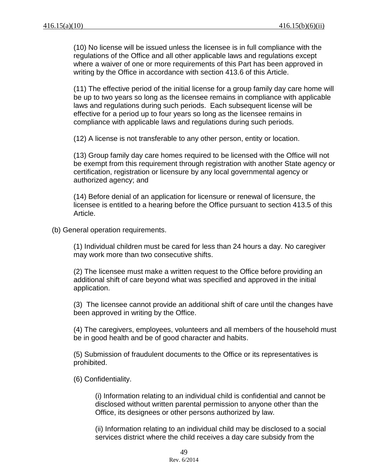(10) No license will be issued unless the licensee is in full compliance with the regulations of the Office and all other applicable laws and regulations except where a waiver of one or more requirements of this Part has been approved in writing by the Office in accordance with section 413.6 of this Article.

(11) The effective period of the initial license for a group family day care home will be up to two years so long as the licensee remains in compliance with applicable laws and regulations during such periods. Each subsequent license will be effective for a period up to four years so long as the licensee remains in compliance with applicable laws and regulations during such periods.

(12) A license is not transferable to any other person, entity or location.

(13) Group family day care homes required to be licensed with the Office will not be exempt from this requirement through registration with another State agency or certification, registration or licensure by any local governmental agency or authorized agency; and

(14) Before denial of an application for licensure or renewal of licensure, the licensee is entitled to a hearing before the Office pursuant to section 413.5 of this Article.

(b) General operation requirements.

(1) Individual children must be cared for less than 24 hours a day. No caregiver may work more than two consecutive shifts.

(2) The licensee must make a written request to the Office before providing an additional shift of care beyond what was specified and approved in the initial application.

(3) The licensee cannot provide an additional shift of care until the changes have been approved in writing by the Office.

(4) The caregivers, employees, volunteers and all members of the household must be in good health and be of good character and habits.

(5) Submission of fraudulent documents to the Office or its representatives is prohibited.

(6) Confidentiality.

(i) Information relating to an individual child is confidential and cannot be disclosed without written parental permission to anyone other than the Office, its designees or other persons authorized by law.

(ii) Information relating to an individual child may be disclosed to a social services district where the child receives a day care subsidy from the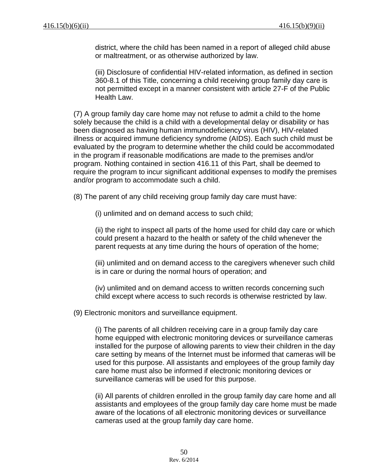district, where the child has been named in a report of alleged child abuse or maltreatment, or as otherwise authorized by law.

(iii) Disclosure of confidential HIV-related information, as defined in section 360-8.1 of this Title, concerning a child receiving group family day care is not permitted except in a manner consistent with article 27-F of the Public Health Law.

(7) A group family day care home may not refuse to admit a child to the home solely because the child is a child with a developmental delay or disability or has been diagnosed as having human immunodeficiency virus (HIV), HIV-related illness or acquired immune deficiency syndrome (AIDS). Each such child must be evaluated by the program to determine whether the child could be accommodated in the program if reasonable modifications are made to the premises and/or program. Nothing contained in section 416.11 of this Part, shall be deemed to require the program to incur significant additional expenses to modify the premises and/or program to accommodate such a child.

(8) The parent of any child receiving group family day care must have:

(i) unlimited and on demand access to such child;

(ii) the right to inspect all parts of the home used for child day care or which could present a hazard to the health or safety of the child whenever the parent requests at any time during the hours of operation of the home;

(iii) unlimited and on demand access to the caregivers whenever such child is in care or during the normal hours of operation; and

(iv) unlimited and on demand access to written records concerning such child except where access to such records is otherwise restricted by law.

(9) Electronic monitors and surveillance equipment.

(i) The parents of all children receiving care in a group family day care home equipped with electronic monitoring devices or surveillance cameras installed for the purpose of allowing parents to view their children in the day care setting by means of the Internet must be informed that cameras will be used for this purpose. All assistants and employees of the group family day care home must also be informed if electronic monitoring devices or surveillance cameras will be used for this purpose.

(ii) All parents of children enrolled in the group family day care home and all assistants and employees of the group family day care home must be made aware of the locations of all electronic monitoring devices or surveillance cameras used at the group family day care home.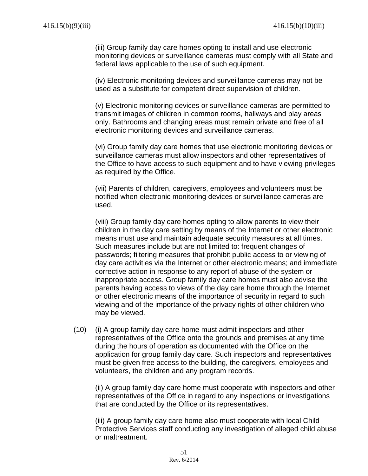(iii) Group family day care homes opting to install and use electronic monitoring devices or surveillance cameras must comply with all State and federal laws applicable to the use of such equipment.

(iv) Electronic monitoring devices and surveillance cameras may not be used as a substitute for competent direct supervision of children.

(v) Electronic monitoring devices or surveillance cameras are permitted to transmit images of children in common rooms, hallways and play areas only. Bathrooms and changing areas must remain private and free of all electronic monitoring devices and surveillance cameras.

(vi) Group family day care homes that use electronic monitoring devices or surveillance cameras must allow inspectors and other representatives of the Office to have access to such equipment and to have viewing privileges as required by the Office.

(vii) Parents of children, caregivers, employees and volunteers must be notified when electronic monitoring devices or surveillance cameras are used.

(viii) Group family day care homes opting to allow parents to view their children in the day care setting by means of the Internet or other electronic means must use and maintain adequate security measures at all times. Such measures include but are not limited to: frequent changes of passwords; filtering measures that prohibit public access to or viewing of day care activities via the Internet or other electronic means; and immediate corrective action in response to any report of abuse of the system or inappropriate access. Group family day care homes must also advise the parents having access to views of the day care home through the Internet or other electronic means of the importance of security in regard to such viewing and of the importance of the privacy rights of other children who may be viewed.

(10) (i) A group family day care home must admit inspectors and other representatives of the Office onto the grounds and premises at any time during the hours of operation as documented with the Office on the application for group family day care. Such inspectors and representatives must be given free access to the building, the caregivers, employees and volunteers, the children and any program records.

(ii) A group family day care home must cooperate with inspectors and other representatives of the Office in regard to any inspections or investigations that are conducted by the Office or its representatives.

(iii) A group family day care home also must cooperate with local Child Protective Services staff conducting any investigation of alleged child abuse or maltreatment.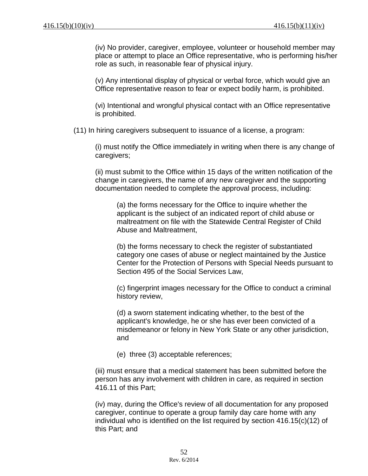(iv) No provider, caregiver, employee, volunteer or household member may place or attempt to place an Office representative, who is performing his/her role as such, in reasonable fear of physical injury.

(v) Any intentional display of physical or verbal force, which would give an Office representative reason to fear or expect bodily harm, is prohibited.

(vi) Intentional and wrongful physical contact with an Office representative is prohibited.

(11) In hiring caregivers subsequent to issuance of a license, a program:

(i) must notify the Office immediately in writing when there is any change of caregivers;

(ii) must submit to the Office within 15 days of the written notification of the change in caregivers, the name of any new caregiver and the supporting documentation needed to complete the approval process, including:

(a) the forms necessary for the Office to inquire whether the applicant is the subject of an indicated report of child abuse or maltreatment on file with the Statewide Central Register of Child Abuse and Maltreatment,

(b) the forms necessary to check the register of substantiated category one cases of abuse or neglect maintained by the Justice Center for the Protection of Persons with Special Needs pursuant to Section 495 of the Social Services Law,

(c) fingerprint images necessary for the Office to conduct a criminal history review,

(d) a sworn statement indicating whether, to the best of the applicant's knowledge, he or she has ever been convicted of a misdemeanor or felony in New York State or any other jurisdiction, and

(e) three (3) acceptable references;

(iii) must ensure that a medical statement has been submitted before the person has any involvement with children in care, as required in section 416.11 of this Part;

(iv) may, during the Office's review of all documentation for any proposed caregiver, continue to operate a group family day care home with any individual who is identified on the list required by section 416.15(c)(12) of this Part; and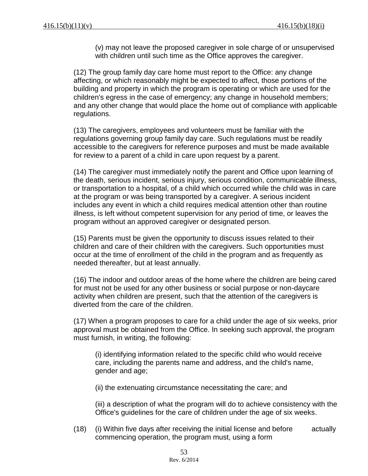(v) may not leave the proposed caregiver in sole charge of or unsupervised with children until such time as the Office approves the caregiver.

(12) The group family day care home must report to the Office: any change affecting, or which reasonably might be expected to affect, those portions of the building and property in which the program is operating or which are used for the children's egress in the case of emergency; any change in household members; and any other change that would place the home out of compliance with applicable regulations.

(13) The caregivers, employees and volunteers must be familiar with the regulations governing group family day care. Such regulations must be readily accessible to the caregivers for reference purposes and must be made available for review to a parent of a child in care upon request by a parent.

(14) The caregiver must immediately notify the parent and Office upon learning of the death, serious incident, serious injury, serious condition, communicable illness, or transportation to a hospital, of a child which occurred while the child was in care at the program or was being transported by a caregiver. A serious incident includes any event in which a child requires medical attention other than routine illness, is left without competent supervision for any period of time, or leaves the program without an approved caregiver or designated person.

(15) Parents must be given the opportunity to discuss issues related to their children and care of their children with the caregivers. Such opportunities must occur at the time of enrollment of the child in the program and as frequently as needed thereafter, but at least annually.

(16) The indoor and outdoor areas of the home where the children are being cared for must not be used for any other business or social purpose or non-daycare activity when children are present, such that the attention of the caregivers is diverted from the care of the children.

(17) When a program proposes to care for a child under the age of six weeks, prior approval must be obtained from the Office. In seeking such approval, the program must furnish, in writing, the following:

(i) identifying information related to the specific child who would receive care, including the parents name and address, and the child's name, gender and age;

(ii) the extenuating circumstance necessitating the care; and

(iii) a description of what the program will do to achieve consistency with the Office's guidelines for the care of children under the age of six weeks.

(18) (i) Within five days after receiving the initial license and before actually commencing operation, the program must, using a form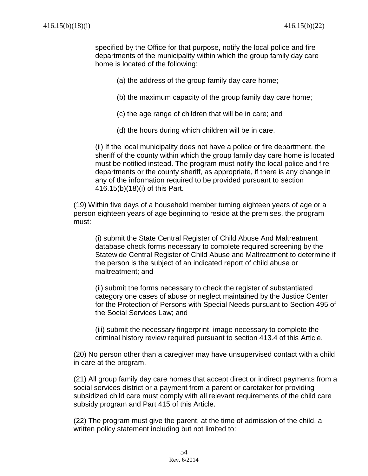specified by the Office for that purpose, notify the local police and fire departments of the municipality within which the group family day care home is located of the following:

(a) the address of the group family day care home;

- (b) the maximum capacity of the group family day care home;
- (c) the age range of children that will be in care; and
- (d) the hours during which children will be in care.

(ii) If the local municipality does not have a police or fire department, the sheriff of the county within which the group family day care home is located must be notified instead. The program must notify the local police and fire departments or the county sheriff, as appropriate, if there is any change in any of the information required to be provided pursuant to section 416.15(b)(18)(i) of this Part.

(19) Within five days of a household member turning eighteen years of age or a person eighteen years of age beginning to reside at the premises, the program must:

(i) submit the State Central Register of Child Abuse And Maltreatment database check forms necessary to complete required screening by the Statewide Central Register of Child Abuse and Maltreatment to determine if the person is the subject of an indicated report of child abuse or maltreatment; and

(ii) submit the forms necessary to check the register of substantiated category one cases of abuse or neglect maintained by the Justice Center for the Protection of Persons with Special Needs pursuant to Section 495 of the Social Services Law; and

(iii) submit the necessary fingerprint image necessary to complete the criminal history review required pursuant to section 413.4 of this Article.

(20) No person other than a caregiver may have unsupervised contact with a child in care at the program.

(21) All group family day care homes that accept direct or indirect payments from a social services district or a payment from a parent or caretaker for providing subsidized child care must comply with all relevant requirements of the child care subsidy program and Part 415 of this Article.

(22) The program must give the parent, at the time of admission of the child, a written policy statement including but not limited to: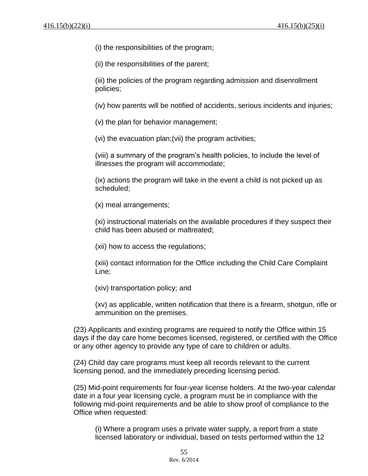(i) the responsibilities of the program;

(ii) the responsibilities of the parent;

(iii) the policies of the program regarding admission and disenrollment policies;

(iv) how parents will be notified of accidents, serious incidents and injuries;

(v) the plan for behavior management;

(vi) the evacuation plan;(vii) the program activities;

(viii) a summary of the program's health policies, to include the level of illnesses the program will accommodate;

(ix) actions the program will take in the event a child is not picked up as scheduled;

(x) meal arrangements;

(xi) instructional materials on the available procedures if they suspect their child has been abused or maltreated;

(xii) how to access the regulations;

(xiii) contact information for the Office including the Child Care Complaint Line;

(xiv) transportation policy; and

(xv) as applicable, written notification that there is a firearm, shotgun, rifle or ammunition on the premises.

(23) Applicants and existing programs are required to notify the Office within 15 days if the day care home becomes licensed, registered, or certified with the Office or any other agency to provide any type of care to children or adults.

(24) Child day care programs must keep all records relevant to the current licensing period, and the immediately preceding licensing period.

(25) Mid-point requirements for four-year license holders. At the two-year calendar date in a four year licensing cycle, a program must be in compliance with the following mid-point requirements and be able to show proof of compliance to the Office when requested:

(i) Where a program uses a private water supply, a report from a state licensed laboratory or individual, based on tests performed within the 12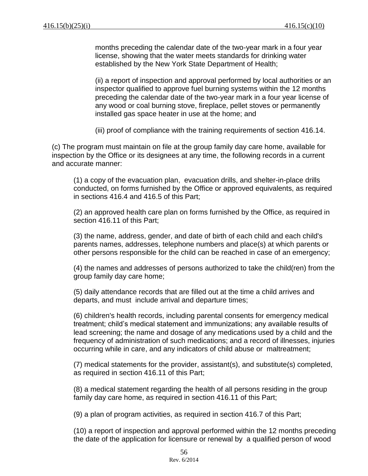months preceding the calendar date of the two-year mark in a four year license, showing that the water meets standards for drinking water established by the New York State Department of Health;

(ii) a report of inspection and approval performed by local authorities or an inspector qualified to approve fuel burning systems within the 12 months preceding the calendar date of the two-year mark in a four year license of any wood or coal burning stove, fireplace, pellet stoves or permanently installed gas space heater in use at the home; and

(iii) proof of compliance with the training requirements of section 416.14.

(c) The program must maintain on file at the group family day care home, available for inspection by the Office or its designees at any time, the following records in a current and accurate manner:

(1) a copy of the evacuation plan, evacuation drills, and shelter-in-place drills conducted, on forms furnished by the Office or approved equivalents, as required in sections 416.4 and 416.5 of this Part;

(2) an approved health care plan on forms furnished by the Office, as required in section 416.11 of this Part;

(3) the name, address, gender, and date of birth of each child and each child's parents names, addresses, telephone numbers and place(s) at which parents or other persons responsible for the child can be reached in case of an emergency;

(4) the names and addresses of persons authorized to take the child(ren) from the group family day care home;

(5) daily attendance records that are filled out at the time a child arrives and departs, and must include arrival and departure times;

(6) children's health records, including parental consents for emergency medical treatment; child's medical statement and immunizations; any available results of lead screening; the name and dosage of any medications used by a child and the frequency of administration of such medications; and a record of illnesses, injuries occurring while in care, and any indicators of child abuse or maltreatment;

(7) medical statements for the provider, assistant(s), and substitute(s) completed, as required in section 416.11 of this Part;

(8) a medical statement regarding the health of all persons residing in the group family day care home, as required in section 416.11 of this Part;

(9) a plan of program activities, as required in section 416.7 of this Part;

(10) a report of inspection and approval performed within the 12 months preceding the date of the application for licensure or renewal by a qualified person of wood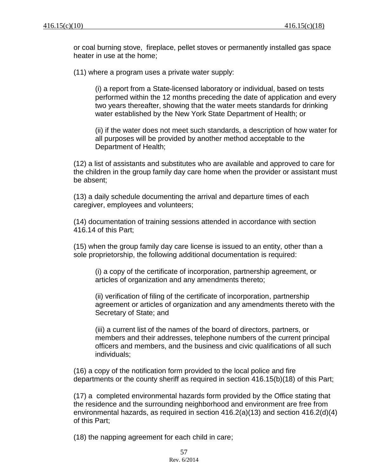or coal burning stove, fireplace, pellet stoves or permanently installed gas space heater in use at the home;

(11) where a program uses a private water supply:

(i) a report from a State-licensed laboratory or individual, based on tests performed within the 12 months preceding the date of application and every two years thereafter, showing that the water meets standards for drinking water established by the New York State Department of Health; or

(ii) if the water does not meet such standards, a description of how water for all purposes will be provided by another method acceptable to the Department of Health;

(12) a list of assistants and substitutes who are available and approved to care for the children in the group family day care home when the provider or assistant must be absent;

(13) a daily schedule documenting the arrival and departure times of each caregiver, employees and volunteers;

(14) documentation of training sessions attended in accordance with section 416.14 of this Part;

(15) when the group family day care license is issued to an entity, other than a sole proprietorship, the following additional documentation is required:

(i) a copy of the certificate of incorporation, partnership agreement, or articles of organization and any amendments thereto;

(ii) verification of filing of the certificate of incorporation, partnership agreement or articles of organization and any amendments thereto with the Secretary of State; and

(iii) a current list of the names of the board of directors, partners, or members and their addresses, telephone numbers of the current principal officers and members, and the business and civic qualifications of all such individuals;

(16) a copy of the notification form provided to the local police and fire departments or the county sheriff as required in section 416.15(b)(18) of this Part;

(17) a completed environmental hazards form provided by the Office stating that the residence and the surrounding neighborhood and environment are free from environmental hazards, as required in section 416.2(a)(13) and section 416.2(d)(4) of this Part;

(18) the napping agreement for each child in care;